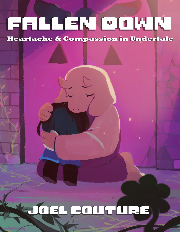# **CELLER GLUER**

**Heartache & Compassion in Undertale** 

# **IEL ELLE LIELE** J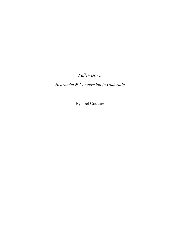*Fallen Down*

*Heartache & Compassion in Undertale*

By Joel Couture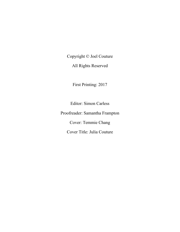Copyright © Joel Couture

All Rights Reserved

First Printing: 2017

Editor: Simon Carless Proofreader: Samantha Frampton Cover: Temmie Chang Cover Title: Julia Couture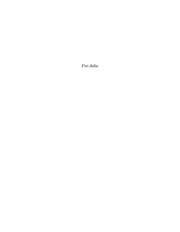*For Julia*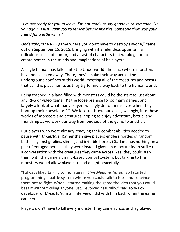*"I'm not ready for you to leave. I'm not ready to say goodbye to someone like you again. I just want you to remember me like this. Someone that was your friend for a little while."*

*Undertale*, "the RPG game where you don't have to destroy anyone," came out on September 15, 2015, bringing with it a relentless optimism, a ridiculous sense of humor, and a cast of characters that would go on to create homes in the minds and imaginations of its players.

A single human has fallen into the Underworld, the place where monsters have been sealed away. There, they'll make their way across the underground confines of this world, meeting all of the creatures and beasts that call this place home, as they try to find a way back to the human world.

Being trapped in a land filled with monsters could be the start to just about any RPG or video game. It's the loose premise for so many games, and largely a look at what many players willingly do to themselves when they boot up their console or PC. We look to throw ourselves, willingly, into these worlds of monsters and creatures, hoping to enjoy adventure, battle, and friendship as we work our way from one side of the game to another.

But players who were already readying their combat abilities needed to pause with *Undertale*. Rather than give players endless hordes of random battles against goblins, slimes, and irritable horses (Garland has nothing on a pair of enraged horses), they were instead given an opportunity to strike up a conversation with the creatures they came across. Yes, they could stab them with the game's timing-based combat system, but talking to the monsters would allow players to end a fight peacefully.

"I always liked talking to monsters in *Shin Megami Tensei*. So I started programming a battle system where you could talk to foes and convince them not to fight. When I started making the game the idea that you could beat it without killing anyone just... evolved naturally," said Toby Fox, developer of *Undertale*, in an interview I did with him back when the game came out.

Players didn't have to kill every monster they came across as they played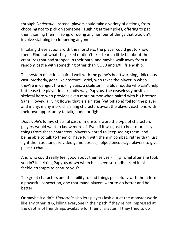through *Undertale*. Instead, players could take a variety of actions, from choosing not to pick on someone, laughing at their jokes, offering to pat them, joining them in song, or doing any number of things that wouldn't involve stabbing or clobbering anyone.

In taking these actions with the monsters, the player could get to know them. Find out what they liked or didn't like. Learn a little bit about the creatures that had stepped in their path, and maybe walk away from a random battle with something other than GOLD and EXP: friendship.

This system of actions paired well with the game's heartwarming, ridiculous cast. Motherly, goat-like creature Toriel, who takes the player in when they're in danger; the joking Sans, a skeleton in a blue hoodie who can't help but tease the player in a friendly way; Papyrus, the ceaselessly positive skeletal hero who provides even more humor when paired with his brother Sans; Flowey, a living flower that is a sinister (yet pitiable) foil for the player; and many, many more charming characters await the player, each one with their own opportunity to talk, bond, or fight.

*Undertale*'s funny, cheerful cast of monsters were the type of characters players would want to know more of. Even if it was just to hear more silly things from these characters, players wanted to keep seeing them, and being able to talk to them or have fun with them in combat, rather than just fight them as standard video game bosses, helped encourage players to give peace a chance.

And who could really feel good about themselves killing Toriel after she took you in? In striking Papyrus down when he's been so kindhearted in his feeble attempts to capture you?

The great characters and the ability to end things peacefully with them form a powerful concoction, one that made players want to do better and be better.

Or maybe it didn't. *Undertale* also lets players lash out at the monster world like any other RPG, killing everyone in their path if they're not impressed at the depths of friendships available for their character. If they tried to do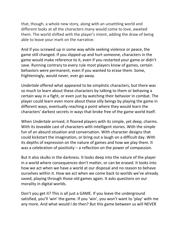that, though, a whole new story, along with an unsettling world and different looks at all the characters many would come to love, awaited them. The world shifted with the player's intent, adding the draw of being able to leave your mark on the narrative.

And if you screwed up in some way while seeking violence or peace, the game still changed. If you slipped up and hurt someone, characters in the game would make reference to it, even if you restarted your game or didn't save. Running contrary to every rule most players know of games, certain behaviors were permanent, even if you wanted to erase them. Some, frighteningly, would never, ever go away.

*Undertale* offered what appeared to be simplistic characters, but there was so much to learn about these characters by talking to them or behaving a certain way in a fight, or even just by watching their behavior in combat. The player could learn even more about these silly beings by playing the game in different ways, eventually reaching a point where they would learn the characters' darkest secrets in ways that broke free of the game world itself.

When *Undertale* arrived, it floored players with its simple, yet deep, charms. With its loveable cast of characters with intelligent stories. With the simple fun of an absurd situation and conversation. With character designs that could kickstart the imagination, or bring out a laugh on a difficult day. With its depths of expression on the nature of games and how we play them. It was a celebration of positivity – a reflection on the power of compassion.

But it also skulks in the darkness. It looks deep into the nature of the player in a world where consequences don't matter, or can be erased. It looks into how we act when we have a world at our disposal and no reason to behave ourselves within it. How we act when we come back to worlds we've already saved, playing through those old games again. It asks questions on our morality in digital worlds.

Don't you get it? This is all just a GAME. If you leave the underground satisfied, you'll 'win' the game. If you 'win', you won't want to 'play' with me any more. And what would I do then? But this game between us will NEVER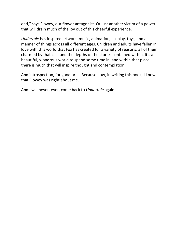end," says Flowey, our flower antagonist. Or just another victim of a power that will drain much of the joy out of this cheerful experience.

*Undertale* has inspired artwork, music, animation, cosplay, toys, and all manner of things across all different ages. Children and adults have fallen in love with this world that Fox has created for a variety of reasons, all of them charmed by that cast and the depths of the stories contained within. It's a beautiful, wondrous world to spend some time in, and within that place, there is much that will inspire thought and contemplation.

And introspection, for good or ill. Because now, in writing this book, I know that Flowey was right about me.

And I will never, ever, come back to *Undertale* again.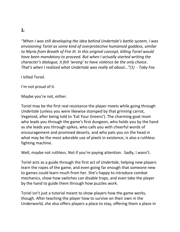**1.**

*"When I was still developing the idea behind Undertale's battle system, I was envisioning Toriel as some kind of overprotective humanoid goddess, similar to Myria from Breath of Fire III. In this original concept, killing Toriel would have been mandatory to proceed. But when I actually started writing the character's dialogue, it felt 'wrong' to have violence be the only choice. That's when I realized what Undertale was really all about…"(1) - Toby Fox*

I killed Toriel.

I'm not proud of it.

Maybe you're not, either.

Toriel may be the first real resistance the player meets while going through *Undertale* (unless you were likewise stomped by that grinning carrot, Vegetoid, after being told to 'Eat Your Greens'). The charming goat mom who leads you through the game's first dungeon, who holds you by the hand as she leads you through spikes, who calls you with cheerful words of encouragement and promised deserts, and who pats you on the head in what may be the most adorable use of pixels in existence, is also a ruthless fighting machine.

Well, maybe not ruthless. Not if you're paying attention. Sadly, I wasn't.

Toriel acts as a guide through the first act of *Undertale*, helping new players learn the ropes of the game, and even going far enough that someone new to games could learn much from her. She's happy to introduce combat mechanics, show how switches can disable traps, and even take the player by the hand to guide them through how puzzles work.

Toriel isn't just a tutorial meant to show players how the game works, though. After teaching the player how to survive on their own in the Underworld, she also offers players a place to stay, offering them a place in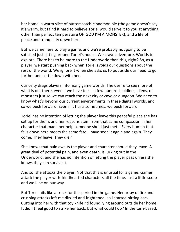her home, a warm slice of butterscotch-cinnamon pie (the game doesn't say it's warm, but I find it hard to believe Toriel would serve it to you at anything other than perfect temperature OH GOD I'M A MONSTER), and a life of peace and tranquility down here.

But we came here to play a game, and we're probably not going to be satisfied just sitting around Toriel's house. We crave adventure. Worlds to explore. There has to be more to the Underworld than this, right? So, as a player, we start pushing back when Toriel avoids our questions about the rest of the world. We ignore it when she asks us to put aside our need to go further and settle down with her.

Curiosity drags players into many game worlds. The desire to see more of what is out there, even if we have to kill a few hundred soldiers, aliens, or monsters just so we can reach the next city or cave or dungeon. We need to know what's beyond our current environments in these digital worlds, and so we push forward. Even if it hurts sometimes, we push forward.

Toriel has no intention of letting the player leave this peaceful place she has set up for them, and her reasons stem from that same compassion in her character that made her help someone she'd just met. "Every human that falls down here meets the same fate. I have seen it again and again. They come. They leave. They die."

She knows that pain awaits the player and character should they leave. A great deal of potential pain, and even death, is lurking out in the Underworld, and she has no intention of letting the player pass unless she knows they can survive it.

And so, she attacks the player. Not that this is unusual for a game. Games attack the player with kindhearted characters all the time. Just a little scrap and we'll be on our way.

But Toriel hits like a truck for this period in the game. Her array of fire and crushing attacks left me dizzied and frightened, so I started hitting back. Cutting into her with that toy knife I'd found lying around outside her home. It didn't feel good to strike her back, but what could I do? In the turn-based,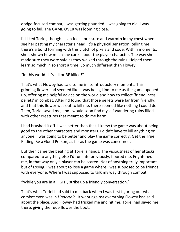dodge-focused combat, I was getting pounded. I was going to die. I was going to fail. The GAME OVER was looming close.

I'd liked Toriel, though. I can feel a pressure and warmth in my chest when I see her patting my character's head. It's a physical sensation, telling me there's a bond forming with this clutch of pixels and code. Within moments, she's shown how much she cares about the player character. The way she made sure they were safe as they walked through the ruins. Helped them learn so much in so short a time. So much different than Flowey.

"In this world…It's kill or BE killed!"

That's what Flowey had said to me in its introductory moments. This grinning flower had seemed like it was being kind to me as the game opened up, offering me helpful advice on the world and how to collect 'friendliness pellets' in combat. After I'd found that those pellets were far from friendly, and that this flower was out to kill me, there seemed like nothing I could do. Then, Toriel saved me, and I would soon find myself wandering ruins filled with other creatures that meant to do me harm.

I had brushed it off. I was better than that. I knew the game was about being good to the other characters and monsters. I didn't have to kill anything or anyone. I was going to be better and play the game correctly. Get the True Ending. Be a Good Person, as far as the game was concerned.

But then came the beating at Toriel's hands. The viciousness of her attacks, compared to anything else I'd run into previously, floored me. Frightened me, in that way only a player can be scared. Not of anything truly important, but of Losing. I was about to lose a game where I was supposed to be friends with everyone. Where I was supposed to talk my way through combat.

"While you are in a FIGHT, strike up a friendly conversation."

That's what Toriel had said to me, back when I was first figuring out what combat even was in *Undertale*. It went against everything Flowey had said about the place. And Flowey had tricked me and hit me. Toriel had saved me there, giving the rude flower the boot.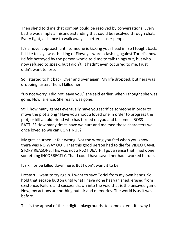Then she'd told me that combat could be resolved by conversations. Every battle was simply a misunderstanding that could be resolved through chat. Every fight, a chance to walk away as better, closer people.

It's a novel approach until someone is kicking your head in. So I fought back. I'd like to say I was thinking of Flowey's words clashing against Toriel's, how I'd felt betrayed by the person who'd told me to talk things out, but who now refused to speak, but I didn't. It hadn't even occurred to me. I just didn't want to lose.

So I started to hit back. Over and over again. My life dropped, but hers was dropping faster. Then, I killed her.

"Do not worry. I did not leave you," she said earlier, when I thought she was gone. Now, silence. She really was gone.

Still, how many games eventually have you sacrifice someone in order to move the plot along? Have you shoot a loved one in order to progress the plot, or kill an old friend who has turned on you and become a BOSS BATTLE? How many times have we hurt and maimed those characters we once loved so we can CONTINUE?

My guts churned. It felt wrong. Not the wrong you feel when you know there was NO WAY OUT. That this good person had to die for VIDEO GAME STORY REASONS. This was not a PLOT DEATH. I got a sense that I had done something INCORRECTLY. That I could have saved her had I worked harder.

It's kill or be killed down here. But I don't want it to be.

I restart. I want to try again. I want to save Toriel from my own hands. So I hold that escape button until what I have done has vanished, erased from existence. Failure and success drawn into the void that is the unsaved game. Now, my actions are nothing but air and memories. The world is as it was before.

This is the appeal of these digital playgrounds, to some extent. It's why I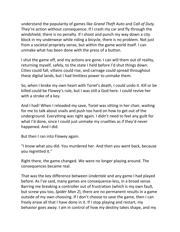understand the popularity of games like *Grand Theft Auto* and *Call of Duty*. They're action without consequence. If I crash my car and fly through the windshield, there is no penalty. If I shoot and punch my way down a city block in my underwear while riding a bicycle, there is no problem. Not just from a societal propriety sense, but within the game world itself. I can unmake what has been done with the press of a button.

I shut the game off, and my actions are gone. I can will them out of reality, returning myself, safely, to the state I held before I'd shut things down. Cities could fall, villains could rise, and carnage could spread throughout these digital lands, but I had limitless power to unmake them.

So, when I broke my own heart with Toriel's death, I could undo it. Kill or be killed could be Flowey's rule, but I was still a God here. I could revive her with a stroke of a key.

And I had! When I reloaded my save, Toriel was sitting in her chair, waiting for me to talk about snails and push too hard on how to get out of the underground. Everything was right again. I didn't need to feel any guilt for what I'd done, since I could just unmake my cruelties as if they'd never happened. And I did.

But then I ran into Flowey again.

"I know what you did. You murdered her. And then you went back, because you regretted it."

Right there, the game changed. We were no longer playing around. The consequences became real.

That was the key difference between *Undertale* and any game I had played before. As I've said, many games are consequence-less, in a broad sense. Barring me breaking a controller out of frustration (which is my own fault, but screw you too, *Spider Man 2*), there are no permanent results in a game outside of my own choosing. If I don't choose to save the game, then I can freely erase all that I have done in it. If I stop playing and restart, my behavior goes away. I am in control of how my destiny takes shape, and my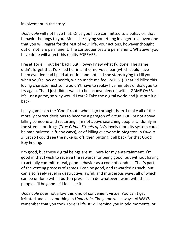involvement in the story.

*Undertale* will not have that. Once you have committed to a behavior, that behavior belongs to you. Much like saying something in anger to a loved one that you will regret for the rest of your life, your actions, however thought out or not, are permanent. The consequences are permanent. Whatever you have done will affect this reality FOREVER.

I reset Toriel. I put her back. But Flowey knew what I'd done. The game didn't forget that I'd killed her in a fit of nervous fear (which could have been avoided had I paid attention and noticed she stops trying to kill you when you're low on health, which made me feel WORSE). That I'd killed this loving character just so I wouldn't have to replay five minutes of dialogue to try again. That I just didn't want to be inconvenienced with a GAME OVER. It's just a game, so why would I care? Take the digital world and just put it all back.

I play games on the 'Good' route when I go through them. I make all of the morally correct decisions to become a paragon of virtue. But I'm not above killing someone and restarting. I'm not above searching people randomly in the streets for drugs (*True Crime: Streets of LA*'s lovely morality system could be manipulated in funny ways), or of killing everyone in Megaton in *Fallout 3* just so I could see the nuke go off, then putting it all back for that Good Boy Ending.

I'm good, but these digital beings are still here for my entertainment. I'm good in that I wish to receive the rewards for being good, but without having to actually commit to real, good behavior as a code of conduct. That's part of the venting process of games. I can be good, and rewarded as such, but can also freely revel in destructive, awful, and murderous ways, all of which can be undone with a button press. I can do whatever I want with these people. I'll be good…if I feel like it.

*Undertale* does not allow this kind of convenient virtue. You can't get irritated and kill something in *Undertale.* The game will always, ALWAYS remember that you took Toriel's life. It will remind you in odd moments, or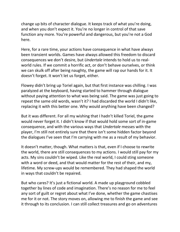change up bits of character dialogue. It keeps track of what you're doing, and when you don't expect it. You're no longer in control of that save function any more. You're powerful and dangerous, but you're not a God here.

Here, for a rare time, your actions have consequence in what have always been transient worlds. Games have always allowed this freedom to discard consequences we don't desire, but *Undertale* intends to hold us to realworld rules. If we commit a horrific act, or don't behave ourselves, or think we can skulk off after being naughty, the game will rap our hands for it. It doesn't forget. It won't let us forget, either.

Flowey didn't bring up Toriel again, but that first instance was chilling. I was paralyzed at the keyboard, having started to hammer through dialogue without paying attention to what was being said. The game was just going to repeat the same old words, wasn't it? I had discarded the world I didn't like, replacing it with this better one. Why would anything have been changed?

But it was different. For all my wishing that I hadn't killed Toriel, the game would never forget it. I didn't know if that would hold some sort of in-game consequence, and with the various ways that *Undertale* messes with the player, I'm still not entirely sure that there isn't some hidden factor beyond the dialogues I've seen that I'm carrying with me as a result of my behavior.

It doesn't matter, though. What matters is that, even if I choose to rewrite the world, there are still consequences to my actions. I would still pay for my acts. My sins couldn't be wiped. Like the real world, I could sting someone with a word or deed, and that would matter for the rest of their, and my, lifetime. My screw-ups would be remembered. They had shaped the world in ways that couldn't be repaired.

But who cares? It's just a fictional world. A made up playground cobbled together by lines of code and imagination. There's no reason for me to feel any sort of guilt or regret about what I've done, whether the game chastises me for it or not. The story moves on, allowing me to finish the game and see it through to its conclusion. I can still collect treasures and go on adventures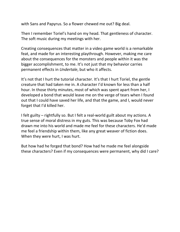with Sans and Papyrus. So a flower chewed me out? Big deal.

Then I remember Toriel's hand on my head. That gentleness of character. The soft music during my meetings with her.

Creating consequences that matter in a video game world is a remarkable feat, and made for an interesting playthrough. However, making me care about the consequences for the monsters and people within it was the bigger accomplishment, to me. It's not just that my behavior carries permanent effects in *Undertale*, but who it affects.

It's not that I hurt the tutorial character. It's that I hurt Toriel, the gentle creature that had taken me in. A character I'd known for less than a half hour. In those thirty minutes, most of which was spent apart from her, I developed a bond that would leave me on the verge of tears when I found out that I could have saved her life, and that the game, and I, would never forget that I'd killed her.

I felt guilty – rightfully so. But I felt a real-world guilt about my actions. A true sense of moral distress in my guts. This was because Toby Fox had drawn me into his world and made me feel for these characters. He'd made me feel a friendship within them, like any great weaver of fiction does. When they were hurt, I was hurt.

But how had he forged that bond? How had he made me feel alongside these characters? Even if my consequences were permanent, why did I care?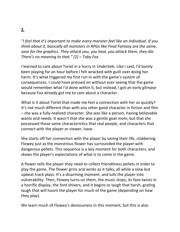### **2.**

*"I feel that it's important to make every monster feel like an individual. If you think about it, basically all monsters in RPGs like Final Fantasy are the same, save for the graphics. They attack you, you heal, you attack them, they die. There's no meaning to that." (2) – Toby Fox*

I learned to care about Toriel in a hurry in *Undertale*. Like I said, I'd barely been playing for an hour before I felt wracked with guilt over doing her harm. It's what triggered my first run-in with the game's system of consequences. I could have pressed on without ever seeing that the game would remember what I'd done within it, but instead, I got an early glimpse because Fox already got me to care about a character.

What is it about Toriel that made me feel a connection with her so quickly? It's not much different than with any other good character in fiction and film – she was a fully-realized character. She was like a person, having believable wants and needs. It wasn't that she was a gentle goat mom, but that she possessed those same characteristics that real people, and characters that connect with the player or viewer, have.

She starts off her connection with the player by saving their life, clobbering Flowey just as the monstrous flower has surrounded the player with dangerous pellets. This sequence is a key moment for both characters, and skews the player's expectations of what is to come in the game.

A flower tells the player they need to collect friendliness pellets in order to play the game. The flower grins and winks as it talks, all while a slow but upbeat track plays. It's a disarming moment, and lulls the player into vulnerability. Then, Flowey turns on them, the music stops, its face twists in a horrific display, the font shivers, and it begins to laugh that harsh, grating laugh that will haunt the player for much of the game (depending on how they play).

We learn much of Flowey's deviousness in this moment, but this is also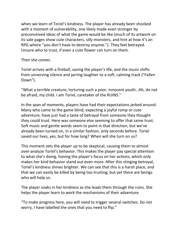when we learn of Toriel's kindness. The player has already been shocked with a moment of vulnerability, one likely made even stronger by preconceived ideas of what the game would be like (much of its artwork on its sale pages show cute characters, silly monsters, and hint at how it's an RPG where "you don't have to destroy anyone."). They feel betrayed. Unsure who to trust, if even a cute flower can turn on them.

Then she comes.

Toriel arrives with a fireball, saving the player's life, and the music shifts from unnerving silence and jarring laughter to a soft, calming track ("Fallen Down").

"What a terrible creature, torturing such a poor, innocent youth…Ah, do not be afraid, my child. I am Toriel, caretaker of the RUINS."

In the span of moments, players have had their expectations jerked around. Many who came to the game blind, expecting a joyful romp or cute adventure, have just had a taste of betrayal from someone they thought they could trust. Here was someone else seeming to offer that same trust. Soft music and gentle words seem to point in that direction, but we've already been turned on, in a similar fashion, only seconds before. Toriel saved our lives, yes, but for how long? When will she turn on us?

This moment sets the player up to be skeptical, causing them to almost over-analyze Toriel's behavior. This makes the player pay special attention to what she's doing, honing the player's focus on her actions, which only makes her kind behavior stand out even more. After this stinging betrayal, Toriel's kindness shines brighter. We can see that this is a harsh place, and that we can easily be killed by being too trusting, but yet there are beings who will help us.

The player soaks in her kindness as she leads them through the ruins. She helps the player learn to work the mechanisms of their adventure.

"To make progress here, you will need to trigger several switches. Do not worry, I have labelled the ones that you need to flip."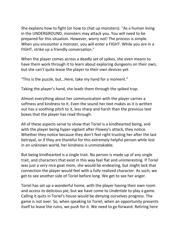She explains how to fight (or how to chat up monsters). "As a human living in the UNDERGROUND, monsters may attack you. You will need to be prepared for this situation. However, worry not! The process is simple. When you encounter a monster, you will enter a FIGHT. While you are in a FIGHT, strike up a friendly conversation."

When the player comes across a deadly set of spikes, she even means to have them work through it to learn about exploring dungeons on their own, but she can't quite leave the player to their own devices yet.

"This is the puzzle, but…Here, take my hand for a moment."

Taking the player's hand, she leads them through the spiked trap.

Almost everything about her communication with the player carries a softness and kindness to it. Even the sound her text makes as it is written out has a soothing pitch to it, less sharp and harsh than the previous text boxes that the player has read through.

All of these aspects serve to show that Toriel is a kindhearted being, and with the player being hyper-vigilant after Flowey's attack, they notice. Whether they notice because they don't feel right trusting her after the last betrayal, or if they are thankful for this extremely helpful person while lost in an unknown world, her kindness is unmistakable.

But being kindhearted is a single trait. No person is made up of any single trait, and characters that exist in this way feel flat and uninteresting. If Toriel was just a very nice goat mom, she would be endearing, but might lack that connection the player would feel with a fully realized character. As such, we get to see another side of Toriel before long. We get to see her anger.

Toriel has set up a wonderful home, with the player having their own room and access to delicious pie, but we have come to *Undertale* to play a game. Calling it quits in Toriel's house would be denying ourselves progress. The game is not over. So, when speaking to Toriel, when an opportunity presents itself to leave the ruins, we push for it. We need to go forward. Retiring here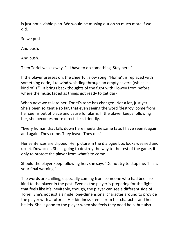is just not a viable plan. We would be missing out on so much more if we did.

So we push.

And push.

And push.

Then Toriel walks away. "…I have to do something. Stay here."

If the player presses on, the cheerful, slow song, "Home", is replaced with something eerie, like wind whistling through an empty cavern (which it… kind of is?). It brings back thoughts of the fight with Flowey from before, where the music faded as things got ready to get dark.

When next we talk to her, Toriel's tone has changed. Not a lot, just yet. She's been so gentle so far, that even seeing the word 'destroy' come from her seems out of place and cause for alarm. If the player keeps following her, she becomes more direct. Less friendly.

"Every human that falls down here meets the same fate. I have seen it again and again. They come. They leave. They die."

Her sentences are clipped. Her picture in the dialogue box looks wearied and upset. Downcast. She is going to destroy the way to the rest of the game, if only to protect the player from what's to come.

Should the player keep following her, she says "Do not try to stop me. This is your final warning."

The words are chilling, especially coming from someone who had been so kind to the player in the past. Even as the player is preparing for the fight that feels like it's inevitable, though, the player can see a different side of Toriel. She's not just a simple, one-dimensional character around to provide the player with a tutorial. Her kindness stems from her character and her beliefs. She is good to the player when she feels they need help, but also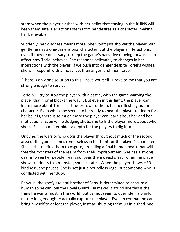stern when the player clashes with her belief that staying in the RUINS will keep them safe. Her actions stem from her desires as a character, making her believable.

Suddenly, her kindness means more. She won't just shower the player with gentleness as a one-dimensional character, but the player's interactions, even if they're necessary to keep the game's narrative moving forward, can affect how Toriel behaves. She responds believably to changes in her interactions with the player. If we push into danger despite Toriel's wishes, she will respond with annoyance, then anger, and then force.

"There is only one solution to this. Prove yourself…Prove to me that you are strong enough to survive."

Toriel will try to stop the player with a battle, with the game warning the player that 'Toriel blocks the way!'. But even in this fight, the player can learn more about Toriel's attitudes toward them, further fleshing out her character. Even when she seems to be ready to beat the player to death for her beliefs, there is so much more the player can learn about her and her motivations. Even while dodging shots, she tells the player more about who she is. Each character hides a depth for the players to dig into.

Undyne, the warrior who dogs the player throughout much of the second area of the game, seems remorseless in her hunt for the player's character. She seeks to bring them to Asgore, providing a final human heart that will free the monsters of the realm from their imprisonment. She has a strong desire to see her people free, and loves them deeply. Yet, when the player shows kindness to a monster, she hesitates. When the player shows HER kindness, she pauses. She is not just a boundless rage, but someone who is conflicted with her duty.

Papyrus, the goofy skeletal brother of Sans, is determined to capture a human so he can join the Royal Guard. He makes it sound like this is the thing he wants most in the world, but cannot seem to override his playful nature long enough to actually capture the player. Even in combat, he can't bring himself to defeat the player, instead shutting them up in a shed. We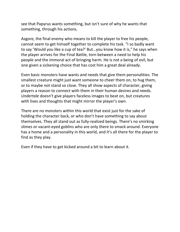see that Papyrus wants something, but isn't sure of why he wants that something, through his actions.

Asgore, the final enemy who means to kill the player to free his people, cannot seem to get himself together to complete his task. "I so badly want to say 'Would you like a cup of tea?' But…you know how it is," he says when the player arrives for the Final Battle, torn between a need to help his people and the immoral act of bringing harm. He is not a being of evil, but one given a sickening choice that has cost him a great deal already.

Even basic monsters have wants and needs that give them personalities. The smallest creature might just want someone to cheer them on, to hug them, or to maybe not stand so close. They all show aspects of character, giving players a reason to connect with them in their human desires and needs. *Undertale* doesn't give players faceless images to beat on, but creatures with lives and thoughts that might mirror the player's own.

There are no monsters within this world that exist just for the sake of holding the character back, or who don't have something to say about themselves. They all stand out as fully-realized beings. There's no smirking slimes or vacant-eyed goblins who are only there to smack around. Everyone has a home and a personality in this world, and it's all there for the player to find as they play.

Even if they have to get kicked around a bit to learn about it.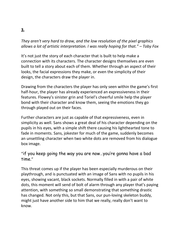## *They aren't very hard to draw, and the low resolution of the pixel graphics allows a lot of artistic interpretation. I was really hoping for that." – Toby Fox*

It's not just the story of each character that is built to help make a connection with its characters. The character designs themselves are even built to tell a story about each of them. Whether through an aspect of their looks, the facial expressions they make, or even the simplicity of their design, the characters draw the player in.

Drawing from the characters the player has only seen within the game's first half-hour, the player has already experienced an expressiveness in their features. Flowey's sinister grin and Toriel's cheerful smile help the player bond with their character and know them, seeing the emotions they go through played out on their faces.

Further characters are just as capable of that expressiveness, even in simplicity as well. Sans shows a great deal of his character depending on the pupils in his eyes, with a simple shift there causing his lighthearted tone to fade in moments. Sans, jokester for much of the game, suddenly becomes an unsettling character when two white dots are removed from his dialogue box image.

# "if you keep going the way you are now…you're gonna have a bad time."

This threat comes up if the player has been especially murderous on their playthrough, and is punctuated with an image of Sans with no pupils in his eyes, showing vacant, black sockets. Normally filled in with a pair of white dots, this moment will send of bolt of alarm through any player that's paying attention, with something so small demonstrating that something drastic has changed. Not only this, but that Sans, our pun-loving skeleton buddy, might just have another side to him that we really, really don't want to know.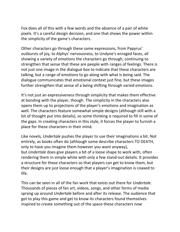Fox does all of this with a few words and the absence of a pair of white pixels. It's a careful design decision, and one that shows the power within the simplicity of the game's characters.

Other characters go through these same expressions, from Papyrus' outbursts of joy, to Alphys' nervousness, to Undyne's enraged faces, all showing a variety of emotions the characters go through, continuing to strengthen that sense that these are people with ranges of feelings. There is not just one image in the dialogue box to indicate that these characters are talking, but a range of emotions to go along with what is being said. The dialogue communicates that emotional context just fine, but these images further strengthen that sense of a being shifting through varied emotions.

It's not just an expressiveness through simplicity that makes them effective at bonding with the player, though. The simplicity in the characters also opens them up to projections of the player's emotions and imagination as well. The characters feature somewhat simple designs (although still with a lot of thought put into details), so some thinking is required to fill in some of the gaps. In creating characters in this style, it forces the player to furnish a place for these characters in their mind.

Like novels, *Undertale* pushes the player to use their imaginations a bit. Not entirely, as books often do (although some describe characters TO DEATH, only to have you imagine them however you want anyway), but *Undertale* does give players a bit of a loose shape to work with, often rendering them in simple white with only a few stand-out details. It provides a structure for these characters so that players can get to know them, but their designs are just loose enough that a player's imagination is coaxed to life.

This can be seen in all of the fan work that exists out there for *Undertale*. Thousands of pieces of fan art, videos, songs, and other forms of media sprang up around *Undertale* before and after its release. The audience that got to play this game and get to know its characters found themselves inspired to create something out of the space these characters now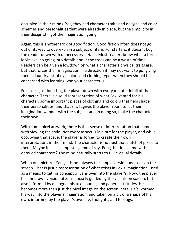occupied in their minds. Yes, they had character traits and designs and color schemes and personalities that were already in place, but the simplicity in their design still got the imagination going.

Again, this is another trick of good fiction. Good fiction often does not go out of its way to overexplain a subject or item. For starters, it doesn't bog the reader down with unnecessary details. Most readers know what a forest looks like, so going into details about the trees can be a waste of time. Readers can be given a lowdown on what a character's physical traits are, but that forces their imagination in a direction it may not want to go, giving them a laundry list of eye colors and clothing types when they should be concerned with learning who your character is.

Fox's designs don't bog the player down with every minute detail of the character. There is a solid representation of what Fox wanted for his character, some important pieces of clothing and colors that help shape their personalities, and that's it. It gives the player room to let their imagination wander with the subject, and in doing so, make the character their own.

With some pixel artwork, there is that sense of interpretation that comes with viewing the style. Not every aspect is laid out for the player, and while occupying that space, the player is forced to create their own interpretations in their mind. The character is not just that clutch of pixels to them. Maybe it is in a simplistic game of say, Pong, but in a game with detailed characters? The mind naturally starts to fill in visual details.

When one pictures Sans, it is not always the simple version one sees on the screen. That is just a representation of what exists in Fox's imagination, used as a means to get his concept of Sans over into the player's. Now, the player has their own version of Sans, loosely guided by the visuals on screen, but also informed by dialogue, his text sounds, and general attitudes. He becomes more than just the pixel image on the screen, here. He's wormed his way into the player's imagination, and taken on a bit of a shape of his own, informed by the player's own life, thoughts, and feelings.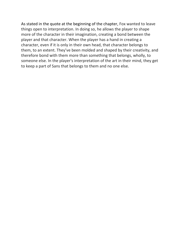As stated in the quote at the beginning of the chapter, Fox wanted to leave things open to interpretation. In doing so, he allows the player to shape more of the character in their imagination, creating a bond between the player and that character. When the player has a hand in creating a character, even if it is only in their own head, that character belongs to them, to an extent. They've been molded and shaped by their creativity, and therefore bond with them more than something that belongs, wholly, to someone else. In the player's interpretation of the art in their mind, they get to keep a part of Sans that belongs to them and no one else.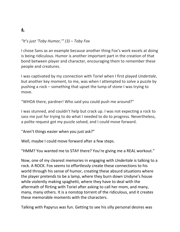# *"It's just 'Toby Humor,'" (3) – Toby Fox*

I chose Sans as an example because another thing Fox's work excels at doing is being ridiculous. Humor is another important part in the creation of that bond between player and character, encouraging them to remember these people and creatures.

I was captivated by my connection with Toriel when I first played *Undertale*, but another key moment, to me, was when I attempted to solve a puzzle by pushing a rock – something that upset the lump of stone I was trying to move.

"WHOA there, pardner! Who said you could push me around?"

I was stunned, and couldn't help but crack up. I was not expecting a rock to sass me just for trying to do what I needed to do to progress. Nevertheless, a polite request got my puzzle solved, and I could move forward.

"Aren't things easier when you just ask?"

Well, maybe I could move forward after a few steps.

"HMM? You wanted me to STAY there? You're giving me a REAL workout."

Now, one of my clearest memories in engaging with *Undertale* is talking to a rock*.* A ROCK. Fox seems to effortlessly create these connections to his world through his sense of humor, creating these absurd situations where the player pretends to be a lamp, where they burn down Undyne's house while violently making spaghetti, where they have to deal with the aftermath of flirting with Toriel after asking to call her mom, and many, many, many others. It is a nonstop torrent of the ridiculous, and it creates these memorable moments with the characters.

Talking with Papyrus was fun. Getting to see his silly personal desires was

#### **4.**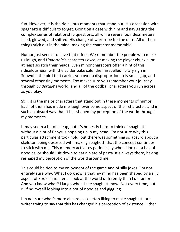fun. However, it is the ridiculous moments that stand out. His obsession with spaghetti is difficult to forget. Going on a date with him and navigating the complex series of relationship questions, all while several pointless meters filled, glowed, and shifted. His change of wardrobe for the date. All of these things stick out in the mind, making the character memorable.

Humor just seems to have that effect. We remember the people who make us laugh, and *Undertale*'s characters excel at making the player chuckle, or at least scratch their heads. Even minor characters offer a hint of this ridiculousness, with the spider bake sale, the misspelled library sign in Snowdin, the bird that carries you over a disproportionately small gap, and several other tiny moments. Fox makes sure you remember your journey through *Undertale*'s world, and all of the oddball characters you run across as you play.

Still, it is the major characters that stand out in these moments of humor. Each of them has made me laugh over some aspect of their character, and in such an absurd way that it has shaped my perception of the world through my memories.

It may seem a bit of a leap, but it's honestly hard to think of spaghetti without a hint of Papyrus popping up in my head. I'm not sure why this particular attachment took hold, but there was something so absurd about a skeleton being obsessed with making spaghetti that the concept continues to stick with me. This memory activates periodically when I look at a bag of noodles, or should I sit down to eat a plate of pasta. It's always there, having reshaped my perception of the world around me.

This could be tied to my enjoyment of the game and of silly jokes. I'm not entirely sure why. What I do know is that my mind has been shaped by a silly aspect of Fox's characters. I look at the world differently than I did before. And you know what? I laugh when I see spaghetti now. Not every time, but I'll find myself looking into a pot of noodles and giggling.

I'm not sure what's more absurd, a skeleton liking to make spaghetti or a writer trying to say that this has changed his perception of existence. Either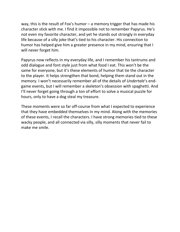way, this is the result of Fox's humor  $-$  a memory trigger that has made his character stick with me. I find it impossible not to remember Papyrus. He's not even my favorite character, and yet he stands out strongly in everyday life because of a silly joke that's tied to his character. His connection to humor has helped give him a greater presence in my mind, ensuring that I will never forget him.

Papyrus now reflects in my everyday life, and I remember his tantrums and odd dialogue and font style just from what food I eat. This won't be the same for everyone, but it's these elements of humor that tie the character to the player. It helps strengthen that bond, helping them stand out in the memory. I won't necessarily remember all of the details of *Undertale*'s endgame events, but I will remember a skeleton's obsession with spaghetti. And I'll never forget going through a ton of effort to solve a musical puzzle for hours, only to have a dog steal my treasure.

These moments were so far off-course from what I expected to experience that they have embedded themselves in my mind. Along with the memories of these events, I recall the characters. I have strong memories tied to these wacky people, and all connected via silly, silly moments that never fail to make me smile.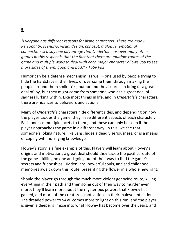#### **5.**

*"Everyone has different reasons for liking characters. There are many. Personality, scenario, visual design, concept, dialogue, emotional connection...I'd say one advantage that Undertale has over many other games in this respect is that the fact that there are multiple routes of the game and multiple ways to deal with each major character allows you to see more sides of them, good and bad." - Toby Fox*

Humor can be a defense mechanism, as well – one used by people trying to hide the hardships in their lives, or overcome them through making the people around them smile. Yes, humor and the absurd can bring us a great deal of joy, but they might come from someone who has a great deal of sadness lurking within. Like most things in life, and in *Undertale's* characters, there are nuances to behaviors and actions.

Many of *Undertale*'s characters hide different sides, and depending on how the player tackles the game, they'll see different aspects of each character. Each one has multiple facets to them, and these can only be seen if the player approaches the game in a different way. In this, we see that someone's joking nature, like Sans, hides a deadly seriousness, or is a means of coping with horrifying knowledge.

Flowey's story is a fine example of this. Players will learn about Flowey's origins and motivations a great deal should they tackle the pacifist route of the game – killing no one and going out of their way to find the game's secrets and friendships. Hidden labs, powerful souls, and sad childhood memories await down this route, presenting the flower in a whole new light.

Should the player go through the much more violent genocide route, killing everything in their path and then going out of their way to murder even more, they'll learn more about the mysterious powers that Flowey has gained, and more of the creature's motivations in their malevolent actions. The dreaded power to SAVE comes more to light on this run, and the player is given a deeper glimpse into what Flowey has become over the years, and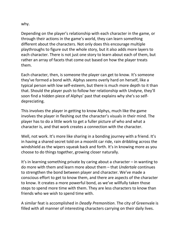why.

Depending on the player's relationship with each character in the game, or through their actions in the game's world, they can learn something different about the characters. Not only does this encourage multiple playthroughs to figure out the whole story, but it also adds more layers to each character. There is not just one story to learn about each of them, but rather an array of facets that come out based on how the player treats them.

Each character, then, is someone the player can get to know. It's someone they've formed a bond with. Alphys seems overly hard on herself, like a typical person with low self-esteem, but there is much more depth to it than that. Should the player push to follow her relationship with Undyne, they'll soon find a hidden piece of Alphys' past that explains why she's so selfdepreciating.

This involves the player in getting to know Alphys, much like the game involves the player in fleshing out the character's visuals in their mind. The player has to do a little work to get a fuller picture of who and what a character is, and that work creates a connection with the character.

Well, not work. It's more like sharing in a bonding journey with a friend. It's in having a shared secret told on a moonlit car ride, rain dribbling across the windshield as the wipers squeak back and forth. It's in knowing more as you choose to do things together, growing closer naturally.

It's in learning something private by caring about a character – in wanting to do more with them and learn more about them – that *Undertale* continues to strengthen the bond between player and character. We've made a conscious effort to get to know them, and there are aspects of the character to know. It creates a more powerful bond, as we've willfully taken those steps to spend more time with them. They are less characters to know than friends who we wish to spend time with.

A similar feat is accomplished in *Deadly Premonition*. The city of Greenvale is filled with all manner of interesting characters carrying on their daily lives.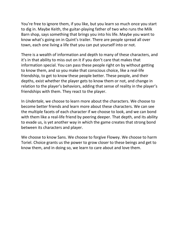You're free to ignore them, if you like, but you learn so much once you start to dig in. Maybe Keith, the guitar-playing father of two who runs the Milk Barn shop, says something that brings you into his life. Maybe you want to know what's going on in Quint's trailer. There are people spread all over town, each one living a life that you can put yourself into or not.

There is a wealth of information and depth to many of these characters, and it's in that ability to miss out on it if you don't care that makes that information special. You can pass these people right on by without getting to know them, and so you make that conscious choice, like a real-life friendship, to get to know these people better. These people, and their depths, exist whether the player gets to know them or not, and change in relation to the player's behaviors, adding that sense of reality in the player's friendships with them. They react to the player.

In *Undertale*, we choose to learn more about the characters. We choose to become better friends and learn more about these characters. We can see the multiple facets of each character if we choose to look, and we can bond with them like a real-life friend by peering deeper. That depth, and its ability to evade us, is yet another way in which the game creates that strong bond between its characters and player.

We choose to know Sans. We choose to forgive Flowey. We choose to harm Toriel. Choice grants us the power to grow closer to these beings and get to know them, and in doing so, we learn to care about and love them.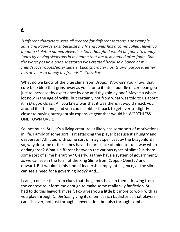#### **6.**

*"Different characters were all created for different reasons. For example, Sans and Papyrus exist because my friend Jones has a comic called Helvetica, about a skeleton named Helvetica. So, I thought it would be funny to annoy Jones by having skeletons in my game that are also named after fonts. But the worst possible ones. Mettaton was created because a bunch of my friends love robots/entertainers. Each character has its own purpose, either narrative or to annoy my friends." - Toby Fox*

What do we know of the blue slime from *Dragon Warrior*? You know, that cute blue blob that grins away as you stomp it into a puddle of cerulean goo just to increase thy experience by one and thy gold by one? Maybe a whole lot now in the age of Wikis, but certainly not from what was told to us about it in *Dragon Quest*. All you knew was that it was there, it would smack you around if left alone, and you could clobber it back to get ever so slightly closer to buying outrageously expensive gear that would be WORTHLESS ONE TOWN OVER.

So, not much. Still, it's a living creature. It likely has some sort of motivations in life. Family of some sort. Is it attacking the player because it's hungry and desperate? Afflicted with some sort of magic spell cast by the Dragonlord? If so, why do some of the slimes have the presence of mind to run away when endangered? What's different between the various types of slime? Is there some sort of slime hierarchy? Clearly, as they have a system of government, as we can see in the form of the King Slime from *Dragon Quest IV* and onward. But wouldn't this kind of leadership imply intelligence, as the slimes can see a need for a governing body? And…

I can go on like this from clues that the games have in them, drawing from the context to inform me enough to make some really silly fanfiction. Still, I had to do this legwork myself. Fox gives you a little bit more to work with as you play through *Undertale*, giving its enemies rich backstories that players can discover, not just through conversation, but also through combat.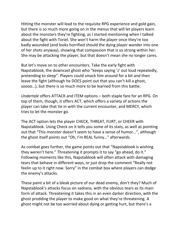Hitting the monster will lead to the requisite RPG experience and gold gain, but there is so much more going on in the menus that will let players learn about the monsters they're fighting, as I started mentioning when I talked about the fight with Toriel. She won't harm the player once they're too badly wounded (and looks horrified should the dying player wander into one of her shots anyway), showing that compassion that is so strong within her. She may be attacking the player, but that doesn't mean she no longer cares.

But let's move on to other encounters. Take the early fight with Napstablook, the downcast ghost who "keeps saying 'z' out loud repeatedly, pretending to sleep". Players could smack him around for a bit and then leave the fight (although he DOES point out that you can't kill a ghost, soooo…), but there is so much more to be learned from this battle.

*Undertale* offers ATTACK and ITEM options – both staple fare for an RPG. On top of them, though, it offers ACT, which offers a variety of actions the player can take that tie in with the current encounter, and MERCY, which tries to let the monster go.

The ACT option lets the player CHECK, THREAT, FLIRT, or CHEER with Napstablook. Using Check on it tells you some of its stats, as well as pointing out that "This monster doesn't seem to have a sense of humor…", although the ghost itself points out "Oh, I'm REAL funny…" afterwards.

As combat goes further, the game points out that "Napstablook is wishing they weren't here." Threatening it prompts it to say "go ahead, do it." Following moments like this, Napstablook will often attack with damaging tears that behave in different ways, or just drop the comment "Really not feelin up to it right now. Sorry" in the combat box where players can dodge the enemy's attacks.

These paint a bit of a bleak picture of our dead enemy, don't they? Much of Napstablook's attacks focus on sadness, with the obvious tears as its main form of attack. Threatening it takes this in an even darker direction, with the ghost prodding the player to make good on what they're threatening. A ghost might not be too worried about dying or getting hurt, but there's a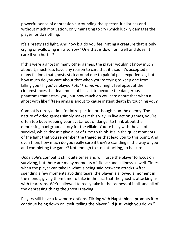powerful sense of depression surrounding the specter. It's listless and without much motivation, only managing to cry (which luckily damages the player) or do nothing.

It's a pretty sad fight. And how big do you feel hitting a creature that is only crying or wallowing in its sorrow? One that is down on itself and doesn't care if you hurt it?

If this were a ghost in many other games, the player wouldn't know much about it, much less have any reason to care that it's sad. It's accepted in many fictions that ghosts stick around due to painful past experiences, but how much do you care about that when you're trying to keep one from killing you? If you've played *Fatal Frame*, you might feel upset at the circumstances that lead much of its cast to become the dangerous phantoms that attack you, but how much do you care about that when a ghost with like fifteen arms is about to cause instant death by touching you?

Combat is rarely a time for introspection or thoughts on the enemy. The nature of video games simply makes it this way. In live action games, you're often too busy keeping your avatar out of danger to think about the depressing background story for the villain. You're busy with the act of survival, which doesn't give a lot of time to think. It's in the quiet moments of the fight that you remember the tragedies that lead you to this point. And even then, how much do you really care if they're standing in the way of you and completing the game? Not enough to stop attacking, to be sure.

*Undertale*'s combat is still quite tense and will force the player to focus on surviving, but there are many moments of silence and stillness as well. Times when the player can take in what is being said between attacks. After spending a few moments avoiding tears, the player is allowed a moment in the menus, giving them time to take in the fact that the ghost is attacking us with teardrops. We're allowed to really take in the sadness of it all, and all of the depressing things the ghost is saying.

Players still have a few more options. Flirting with Napstablook prompts it to continue being down on itself, telling the player "I'd just weigh you down."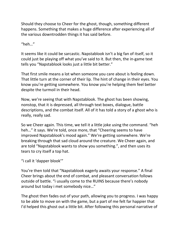Should they choose to Cheer for the ghost, though, something different happens. Something that makes a huge difference after experiencing all of the various downtrodden things it has said before.

"heh…"

It seems like it could be sarcastic. Napstablook isn't a big fan of itself, so it could just be playing off what you've said to it. But then, the in-game text tells you "Napstablook looks just a little bit better."

That first smile means a lot when someone you care about is feeling down. That little turn at the corner of their lip. The hint of change in their eyes. You know you're getting somewhere. You know you're helping them feel better despite the turmoil in their head.

Now, we're seeing that with Napstablook. The ghost has been showing, nonstop, that it is depressed, all through text boxes, dialogue, battle descriptions, and the combat itself. All of it has told a story of a ghost who is really, really sad.

So we Cheer again. This time, we tell it a little joke using the command. "heh heh…" it says. We're told, once more, that "Cheering seems to have improved Napstablook's mood again." We're getting somewhere. We're breaking through that sad cloud around the creature. We Cheer again, and are told "Napstablook wants to show you something.", and then uses its tears to cry itself a top hat.

"i call it 'dapper blook'"

You're then told that "Napstablook eagerly awaits your response." A final Cheer brings about the end of combat, and pleasant conversation follows outside of battle. "i usually come to the RUINS because there's nobody around but today i met somebody nice…"

The ghost then fades out of your path, allowing you to progress. I was happy to be able to move on with the game, but a part of me felt far happier that I'd helped this ghost out a little bit. After following this personal narrative of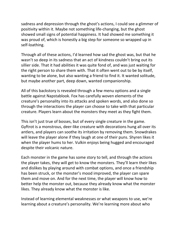sadness and depression through the ghost's actions, I could see a glimmer of positivity within it. Maybe not something life-changing, but the ghost showed small signs of potential happiness. It had showed me something it was proud of, which is honestly a big step for someone so wrapped up in self-loathing.

Through all of these actions, I'd learned how sad the ghost was, but that he wasn't so deep in its sadness that an act of kindness couldn't bring out its sillier side. That it had abilities it was quite fond of, and was just waiting for the right person to share them with. That it often went out to be by itself, wanting to be alone, but also wanting a friend to find it. It wanted solitude, but maybe another part, deep down, wanted companionship.

All of this backstory is revealed through a few menu options and a single battle against Napstablook. Fox has carefully woven elements of the creature's personality into its attacks and spoken words, and also done so through the interactions the player can choose to take with that particular creature. Players learn about the monsters they meet as they fight them.

This isn't just true of bosses, but of every single creature in the game. Gyftrot is a monstrous, deer-like creature with decorations hung all over its antlers, and players can soothe its irritation by removing them. Snowdrakes will leave the player alone if they laugh at one of their puns. Shyren likes it when the player hums to her. Vulkin enjoys being hugged and encouraged despite their volcanic nature.

Each monster in the game has some story to tell, and through the actions the player takes, they will get to know the monsters. They'll learn their likes and dislikes by playing around with combat options, and once a friendship has been struck, or the monster's mood improved, the player can spare them and move on. And for the next time, the player will know how to better help the monster out, because they already know what the monster likes. They already know what the monster is like.

Instead of learning elemental weaknesses or what weapons to use, we're learning about a creature's personality. We're learning more about who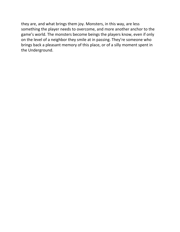they are, and what brings them joy. Monsters, in this way, are less something the player needs to overcome, and more another anchor to the game's world. The monsters become beings the players know, even if only on the level of a neighbor they smile at in passing. They're someone who brings back a pleasant memory of this place, or of a silly moment spent in the Underground.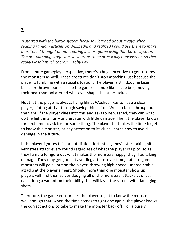## **7.**

*"I started with the battle system because I learned about arrays when reading random articles on Wikipedia and realized I could use them to make one. Then I thought about creating a short game using that battle system. The pre-planning stage was so short as to be practically nonexistent, so there really wasn't much there." – Toby Fox*

From a pure gameplay perspective, there's a huge incentive to get to know the monsters as well. These creatures don't stop attacking just because the player is fumbling with a social situation. The player is still dodging laser blasts or thrown bones inside the game's shmup-like battle box, moving their heart symbol around whatever shape the attack takes.

Not that the player is always flying blind. Woshua likes to have a clean player, hinting at that through saying things like "Wosh u face" throughout the fight. If the player clues into this and asks to be washed, they can wrap up the fight in a hurry and escape with little damage. Then, the player knows for next time to ask for the same thing. The player that takes the time to get to know this monster, or pay attention to its clues, learns how to avoid damage in the future.

If the player ignores this, or puts little effort into it, they'll start taking hits. Monsters attack every round regardless of what the player is up to, so as they fumble to figure out what makes the monsters happy, they'll be taking damage. They may get good at avoiding attacks over time, but late-game monsters will go all out on the player, throwing high-speed, unpredictable attacks at the player's heart. Should more than one monster show up, players will find themselves dodging all of the monsters' attacks at once, each firing a variant on their ability that will layer the screen with damaging shots.

Therefore, the game encourages the player to get to know the monsters well enough that, when the time comes to fight one again, the player knows the correct actions to take to make the monster back off. For a purely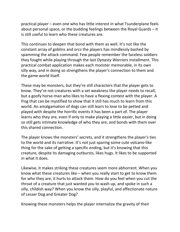practical player – even one who has little interest in what Tsunderplane feels about personal space, or the budding feelings between the Royal Guards – it is still useful to learn who these creatures are.

This continues to deepen that bond with them as well. It's not like the constant array of goblins and orcs the players has mindlessly bashed by spamming the attack command. Few people remember the faceless soldiers they fought while playing through the last *Dynasty Warriors* installment. This practical combat application makes each monster memorable, in its own silly way, and in doing so strengthens the player's connection to them and the game world itself.

These may be monsters, but they're still characters that the player gets to know. They're not creatures with a set weakness the player needs to recall, but a goofy horse-man who likes to have a flexing contest with the player. A frog that can be mystified to show that it still has much to learn from this world. An amalgamation of dogs can still learn to love to be petted and played with despite the horrific events it has been a part of. The player learns who they are, even if only to make playing a little easier, but in doing so still gets intimate knowledge of who they are, and bonds with them over this shared connection.

The player knows the monsters' secrets, and it strengthens the player's ties to the world and its narrative. It's not just sparing some cute volcano-like thing for the sake of getting a specific ending, but it's knowing that this creature, despite its damaging outbursts, likes hugs. It likes to be supported in what it does.

Likewise, it makes striking these creatures seem more abhorrent. When you know what these creatures like – when you really start to get to know them for who they are, it hurts to attack them. How do you feel when you cut the throat of a creature that just wanted you to wash up, and spoke in such a silly, childish way? When you know the silly, playful, and affectionate nature of Lesser Dog and Greater Dog?

Knowing these monsters helps the player internalize the gravity of their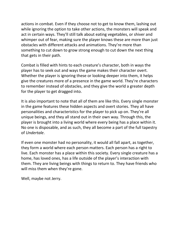actions in combat. Even if they choose not to get to know them, lashing out while ignoring the option to take other actions, the monsters will speak and act in certain ways. They'll still talk about eating vegetables, or shiver and whimper out of fear, making sure the player knows these are more than just obstacles with different attacks and animations. They're more than something to cut down to grow strong enough to cut down the next thing that gets in their path.

Combat is filled with hints to each creature's character, both in ways the player has to seek out and ways the game makes their character overt. Whether the player is ignoring these or looking deeper into them, it helps give the creatures more of a presence in the game world. They're characters to remember instead of obstacles, and they give the world a greater depth for the player to get dragged into.

It is also important to note that all of them are like this. Every single monster in the game features these hidden aspects and overt stories. They all have personalities and characteristics for the player to pick up on. They're all unique beings, and they all stand out in their own way. Through this, the player is brought into a living world where every being has a place within it. No one is disposable, and as such, they all become a part of the full tapestry of *Undertale*.

If even one monster had no personality, it would all fall apart, as together, they form a world where each person matters. Each person has a right to live. Each monster has a place within this society. Every single creature has a home, has loved ones, has a life outside of the player's interaction with them. They are living beings with things to return to. They have friends who will miss them when they're gone.

Well, maybe not Jerry.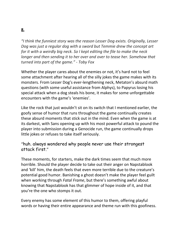### **8.**

*"I think the funniest story was the reason Lesser Dog exists. Originally, Lesser Dog was just a regular dog with a sword but Temmie drew the concept art for it with a weirdly big neck. So I kept editing the file to make the neck longer and then sending it to her over and over to tease her. Somehow that turned into part of the game." - Toby Fox*

Whether the player cares about the enemies or not, it's hard not to feel some attachment after hearing all of the silly jokes the game makes with its monsters. From Lesser Dog's ever-lengthening neck, Metaton's absurd math questions (with some useful assistance from Alphys), to Papyrus losing his special attack when a dog steals his bone, it makes for some unforgettable encounters with the game's 'enemies'.

Like the rock that just wouldn't sit on its switch that I mentioned earlier, the goofy sense of humor that runs throughout the game continually creates these absurd moments that stick out in the mind. Even when the game is at its darkest, with Sans opening up with his most powerful attack to pound the player into submission during a Genocide run, the game continually drops little jokes or refuses to take itself seriously.

## "huh. always wondered why people never use their strongest attack first."

These moments, for starters, make the dark times seem that much more horrible. Should the player decide to take out their anger on Napstablook and 'kill' him, the death feels that even more terrible due to the creature's potential good humor. Banishing a ghost doesn't make the player feel guilt when working through *Fatal Frame*, but there's something awful about knowing that Napstablook has that glimmer of hope inside of it, and that you're the one who stomps it out.

Every enemy has some element of this humor to them, offering playful words or having their entire appearance and theme run with this goofiness.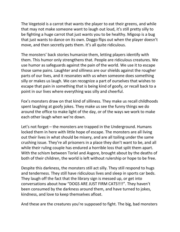The Vegetoid is a carrot that wants the player to eat their greens, and while that may not make someone want to laugh out loud, it's still pretty silly to be fighting a huge carrot that just wants you to be healthy. Migosp is a bug that just wants to dance on its own. Doggo flips out when the player doesn't move, and then secretly pets them. It's all quite ridiculous.

The monsters' back stories humanize them, letting players identify with them. This humor only strengthens that. People are ridiculous creatures. We use humor as safeguards against the pain of the world. We use it to escape those same pains. Laughter and silliness are our shields against the rougher parts of our lives, and it resonates with us when someone does something silly or makes us laugh. We can recognize a part of ourselves that wishes to escape that pain in something that is being kind of goofy, or recall back to a point in our lives where everything was silly and cheerful.

Fox's monsters draw on that kind of silliness. They make us recall childhoods spent laughing at goofy jokes. They make us see the funny things we do around the office to make light of the day, or of the ways we work to make each other laugh when we're down.

Let's not forget – the monsters are trapped in the Underground. Humans locked them in here with little hope of escape. The monsters are all living out their lives in what should be misery, and are all toiling under the same crushing issue. They're all prisoners in a place they don't want to be, and all while their ruling couple has endured a horrible loss that split them apart. With the schism between Toriel and Asgore, brought about by the deaths of both of their children, the world is left without rulership or hope to be free.

Despite this darkness, the monsters still act silly. They still respond to hugs and tenderness. They still have ridiculous lives and sleep in sports car beds. They laugh off the fact that the library sign is messed up, or get into conversations about how "DOGS ARE JUST FIRM CATS!!!!". They haven't been consumed by the darkness around them, and have turned to jokes, kindness, and love to keep themselves afloat.

And these are the creatures you're supposed to fight. The big, bad monsters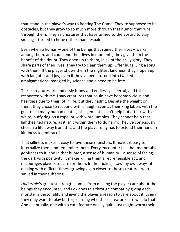that stand in the player's way to Beating The Game. They're supposed to be obstacles, but they grow to so much more through that humor that runs through them. They're creatures that have turned to the absurd to stay smiling – turned to hope rather than despair.

Even when a human – one of the beings that ruined their lives – walks among them, and could end their lives in moments, they give them the benefit of the doubt. They open up to them, in all of their silly glory. They share parts of their lives. They try to clean them up. Offer hugs. Sing a song with them. If the player shows them the slightest kindness, they'll open up with laughter and joy, even if they've been turned into twisted amalgamations, mangled by science and a need to be free.

These creatures are endlessly funny and endlessly cheerful, and this resonated with me. I saw creatures that could have become vicious and heartless due to their lot in life, but they hadn't. Despite the weight on them, they chose to respond with a laugh. Even as their king labors with the guilt of so many human deaths, his agents still can't help but attack with a white, puffy dog on a rope, or with word jumbles. They cannot help that lighthearted nature, as it isn't within them to do harm. They've consciously chosen a life away from this, and the player only has to extend their hand in kindness to embrace it.

That silliness makes it easy to love these monsters. It makes it easy to internalize them and remember them. Every encounter has that memorable goofiness to it, and in that humor, a sense of humanity – a sense of facing the dark with positivity. It makes killing them a reprehensible act, and encourages players to care for them. In their jokes, I saw my own ways of dealing with difficult times, growing even closer to these creatures who smiled in their suffering.

*Undertale*'s greatest strength comes from making the player care about the beings they encounter, and Fox does this through combat by giving each monster a personality and giving the player a reason to care about it. Even if they only want to play better, learning who these creatures are will do that. And eventually, one with a cute feature or silly quirk just might worm their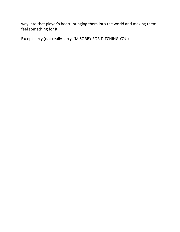way into that player's heart, bringing them into the world and making them feel something for it.

Except Jerry (not really Jerry I'M SORRY FOR DITCHING YOU).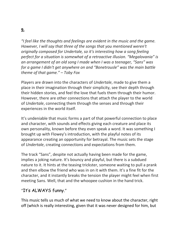### **9.**

*"I feel like the thoughts and feelings are evident in the music and the game. However, I will say that three of the songs that you mentioned weren't originally composed for Undertale, so it's interesting how a song feeling perfect for a situation is somewhat of a retroactive illusion. "Megalovania" is an arrangement of an old song I made when I was a teenager, "Sans" was for a game I didn't get anywhere on and "Bonetrousle" was the main battle theme of that game." – Toby Fox*

Players are drawn into the characters of *Undertale*, made to give them a place in their imagination through their simplicity, see their depth through their hidden stories, and feel the love that fuels them through their humor. However, there are other connections that attach the player to the world of *Undertale*, connecting them through the senses and through their experiences in the world itself.

It's undeniable that music forms a part of that powerful connection to place and character, with sounds and effects giving each creature and place its own personality, known before they even speak a word. It was something I brought up with Flowey's introduction, with the playful notes of its appearance creating an opportunity for betrayal. The music sets the stage of *Undertale*, creating connections and expectations from them.

The track "Sans", despite not actually having been made for the game, implies a joking nature. It's bouncy and playful, but there is a subdued nature to it. It hints at the teasing trickster, someone waiting to pull a prank and then elbow the friend who was in on it with them. It's a fine fit for the character, and it instantly breaks the tension the player might feel when first meeting Sans. Well, that and the whoopee cushion in the hand trick.

# "It's ALWAYS funny."

This music tells us much of what we need to know about the character, right off (which is really interesting, given that it was never designed for him, but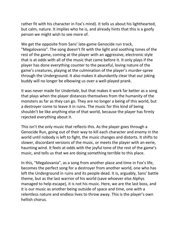rather fit with his character in Fox's mind). It tells us about his lighthearted, but calm, nature. It implies who he is, and already hints that this is a goofy person we might wish to see more of.

We get the opposite from Sans' late-game Genocide run track, "Megalovania". The song doesn't fit with the light and soothing tones of the rest of the game, coming at the player with an aggressive, electronic style that is at odds with all of the music that came before it. It only plays if the player has done everything counter to the peaceful, loving nature of the game's creatures, playing at the culmination of the player's murder-spree through the Underground. It also makes it abundantly clear that our joking buddy will no longer be elbowing us over a well-played prank.

It was never made for *Undertale*, but that makes it work far better as a song that plays when the player distances themselves from the humanity of the monsters as far as they can go. They are no longer a being of this world, but a destroyer come to leave it in ruins. The music for this kind of being shouldn't be like anything else of that world, because the player has firmly rejected everything about it.

This isn't the only music that reflects this. As the player goes through a Genocide Run, going out of their way to kill each character and enemy in the world until nobody is left to fight, the music changes and distorts. It shifts to slower, discordant versions of the music, or meets the player with an eerie, haunting wind. It feels at odds with the joyful tone of the rest of the game's music, and tells us that we are doing something terrible to this place.

In this, "Megalovania", as a song from another place and time in Fox's life, becomes the perfect song for a destroyer from another world, one who has left the Underground in ruins and its people dead. It is, arguably, Sans' battle theme, but as the last warrior of his world (save whoever else Alphys managed to help escape), it is not his music. Here, we are the last boss, and it is our music as another being outside of space and time, one with a relentless nature and endless lives to throw away. This is the player's own hellish chorus.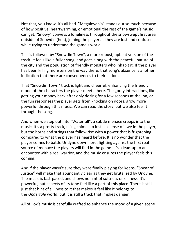Not that, you know, it's all bad. "Megalovania" stands out so much because of how positive, heartwarming, or emotional the rest of the game's music can get. "Snowy" conveys a loneliness throughout the snowswept first area outside of Snowdin (heh), joining the player as they are lost and confused while trying to understand the game's world.

This is followed by "Snowdin Town", a more robust, upbeat version of the track. It feels like a fuller song, and goes along with the peaceful nature of the city and the population of friendly monsters who inhabit it. If the player has been killing monsters on the way there, that song's absence is another indication that there are consequences to their actions.

That "Snowdin Town" track is light and cheerful, enhancing the friendly mood of the characters the player meets there. The goofy interactions, like getting your money back after only dozing for a few seconds at the inn, or the fun responses the player gets from knocking on doors, grow more powerful through this music. We can read the story, but we also feel it through the song.

And when we step out into "Waterfall", a subtle menace creeps into the music. It's a pretty track, using chimes to instill a sense of awe in the player, but the horns and strings that follow rise with a power that is frightening compared to what the player has heard before. It is no wonder that the player comes to battle Undyne down here, fighting against the first real source of menace the players will find in the game. It's a lead-up to an encounter with a real warrior, and the music ensures the player feels this coming.

And if the player wasn't sure they were finally playing for keeps, "Spear of Justice" will make that abundantly clear as they get brutalized by Undyne. The music is fast-paced, and shows no hint of softness or silliness. It's powerful, but aspects of its tone feel like a part of this place. There is still just that hint of silliness to it that makes it feel like it belongs to the *Undertale* world, but it is still a track that implies danger.

All of Fox's music is carefully crafted to enhance the mood of a given scene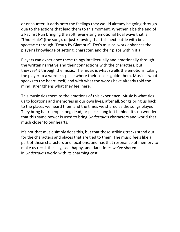or encounter. It adds onto the feelings they would already be going through due to the actions that lead them to this moment. Whether it be the end of a Pacifist Run bringing the soft, ever-rising emotional tidal wave that is "Undertale" (the song), or just knowing that this next battle with be a spectacle through "Death By Glamour", Fox's musical work enhances the player's knowledge of setting, character, and their place within it all.

Players can experience these things intellectually and emotionally through the written narrative and their connections with the characters, but they *feel* it through the music. The music is what swells the emotions, taking the player to a wordless place where their senses guide them. Music is what speaks to the heart itself, and with what the words have already told the mind, strengthens what they feel here.

This music ties them to the emotions of this experience. Music is what ties us to locations and memories in our own lives, after all. Songs bring us back to the places we heard them and the times we shared as the songs played. They bring back people long dead, or places long left behind. It's no wonder that this same power is used to bring *Undertale*'s characters and world that much closer to our hearts.

It's not that music simply does this, but that these striking tracks stand out for the characters and places that are tied to them. The music feels like a part of these characters and locations, and has that resonance of memory to make us recall the silly, sad, happy, and dark times we've shared in *Undertale*'s world with its charming cast.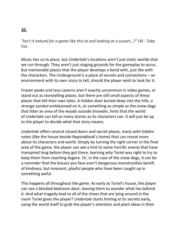## *"Isn't it natural for a game like this to end looking at a sunset…?" (4) - Toby Fox*

Music ties us to place, but *Undertale*'s locations aren't just static worlds that we run through. They aren't just staging grounds for the gameplay to occur, but memorable places that the player develops a bond with, just like with the characters. The Underground is a place of secrets and connections – an environment with its own story to tell, should the player wish to look for it.

Frozen peaks and lava caverns aren't exactly uncommon in video games, or stand out as storytelling places, but there are still small aspects of these places that tell their own tales. A hidden door buried deep into the hills, a strange symbol emblazoned on it, or something as simple as the snow dogs that litter an area of the woods outside Snowdin, hints that the world of *Undertale* can tell as many stories as its characters can. It will just be up to the player to decide what that story means.

*Undertale* offers several closed doors and secret places, many with hidden notes (like the house beside Napstablook's home) that can reveal more about its characters and world. Simply by turning the right corner in the final area of the game, the player can see a hint to some horrific events that have transpired long before they got there, learning why Toriel was right to try to keep them from reaching Asgore. Or, in the case of the snow dogs, it can be a reminder that the bosses you face aren't dangerous monstrosities bereft of kindness, but innocent, playful people who have been caught up in something awful.

This happens all throughout the game. As early as Toriel's house, the player can see a blocked bedroom door, leaving them to wonder what lies behind it. And what tragedy lead to all of the shoes that are lying around in the room Toriel gives the player? *Undertale* starts hinting at its secrets early, using the world itself to grab the player's attention and plant ideas in their

### **10.**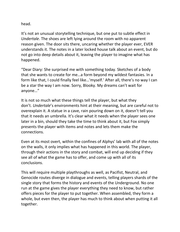head.

It's not an unusual storytelling technique, but one put to subtle effect in *Undertale*. The shoes are left lying around the room with no apparent reason given. The door sits there, uncaring whether the player ever, EVER understands it. The notes in a later locked house talk about an event, but do not go into deep details about it, leaving the player to imagine what has happened.

"Dear Diary: She surprised me with something today. Sketches of a body that she wants to create for me…a form beyond my wildest fantasies. In a form like that, I could finally feel like…'myself.' After all, there's no way I can be a star the way I am now. Sorry, Blooky. My dreams can't wait for anyone…"

It is not so much what these things tell the player, but what they don't. *Undertale*'s environments hint at their meaning, but are careful not to overexplain it. A statue in a cave, rain pouring down on it, doesn't tell you that it needs an umbrella. It's clear what it needs when the player sees one later in a bin, should they take the time to think about it, but Fox simply presents the player with items and notes and lets them make the connections.

Even at its most overt, within the confines of Alphys' lab with all of the notes on the walls, it only implies what has happened in this world. The player, through their actions in the story and combat, will end up deciding if they see all of what the game has to offer, and come up with all of its conclusions.

This will require multiple playthroughs as well, as Pacifist, Neutral, and Genocide routes diverge in dialogue and events, telling players shards of the single story that forms the history and events of the Underground. No one run at the game gives the player everything they need to know, but rather offers pieces for the player to put together. When assembled, they form a whole, but even then, the player has much to think about when putting it all together.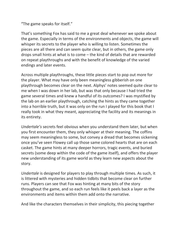"The game speaks for itself."

That's something Fox has said to me a great deal whenever we spoke about the game. Especially in terms of the environments and objects, the game will whisper its secrets to the player who is willing to listen. Sometimes the pieces are all there and can seem quite clear, but in others, the game only drops small hints at what is to come – the kind of details that are rewarded on repeat playthroughs and with the benefit of knowledge of the varied endings and later events.

Across multiple playthroughs, these little pieces start to pop out more for the player. What may have only been meaningless gibberish on one playthrough becomes clear on the next. Alphys' notes seemed quite clear to me when I was down in her lab, but was that only because I had tried the game several times and knew a handful of its outcomes? I was mystified by the lab on an earlier playthrough, catching the hints as they came together into a horrible truth, but it was only on the run I played for this book that I really took in what they meant, appreciating the facility and its meanings in its entirety.

*Undertale's* secrets feel obvious when you understand them later, but when you first encounter them, they only whisper at their meaning. The coffins may seem meaningless to some, but convey a dread that becomes sickening once you've seen Flowey call up those same colored hearts that are on each casket. The game hints at many deeper horrors, tragic events, and buried secrets (some deep within the code of the game itself), and offers the player new understanding of its game world as they learn new aspects about the story.

*Undertale* is designed for players to play through multiple times. As such, it is littered with mysteries and hidden tidbits that become clear on further runs. Players can see that Fox was hinting at many bits of the story throughout the game, and so each run feels like it peels back a layer as the environments and items within them add onto the narrative.

And like the characters themselves in their simplicity, this piecing together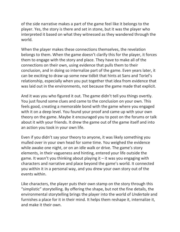of the side narrative makes a part of the game feel like it belongs to the player. Yes, the story is there and set in stone, but it was the player who interpreted it based on what they witnessed as they wandered through the world.

When the player makes these connections themselves, the revelation belongs to them. When the game doesn't clarify this for the player, it forces them to engage with the story and place. They have to make all of the connections on their own, using evidence that pulls them to their conclusion, and in doing so internalize part of the game. Even years later, it can be exciting to draw up some new tidbit that hints at Sans and Toriel's relationship, especially when you put together that idea from evidence that was laid out in the environments, not because the game made that explicit.

And it was you who figured it out. The game didn't tell you things overtly. You just found some clues and came to the conclusion on your own. This feels good, creating a memorable bond with the game where you engaged with it on a deep level. You found your proof and came up with your own theory on the game. Maybe it encouraged you to post on the forums or talk about it with your friends. It drew the game out of the game itself and into an action you took in your own life.

Even if you didn't say your theory to anyone, it was likely something you mulled over in your own head for some time. You weighed the evidence while awake one night, or on an idle walk or drive. The game's story elements, in their vagueness and hinting, entered your life outside the game. It wasn't you thinking about playing it  $-$  it was you engaging with characters and narrative and place beyond the game's world. It connected you within it in a personal way, and you drew your own story out of the events within.

Like characters, the player puts their own stamp on the story through this "simplistic" storytelling. By offering the shape, but not the fine details, the environmental storytelling brings the player into the world of *Undertale* and furnishes a place for it in their mind. It helps them reshape it, internalize it, and make it their own.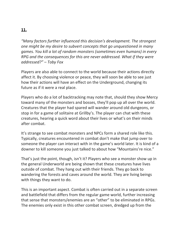#### **11.**

*"Many factors further influenced this decision's development. The strongest one might be my desire to subvert concepts that go unquestioned in many games. You kill a lot of random monsters (sometimes even humans) in every RPG and the consequences for this are never addressed. What if they were addressed?" – Toby Fox*

Players are also able to connect to the world because their actions directly affect it. By choosing violence or peace, they will soon be able to see just how their actions will have an effect on the Underground, changing its future as if it were a real place.

Players who do a lot of backtracking may note that, should they show Mercy toward many of the monsters and bosses, they'll pop up all over the world. Creatures that the player had spared will wander around old dungeons, or stop in for a game of solitaire at Grillby's. The player can chat with these creatures, hearing a quick word about their lives or what's on their minds after combat.

It's strange to see combat monsters and NPCs form a shared role like this. Typically, creatures encountered in combat don't make that jump over to someone the player can interact with in the game's world later. It is kind of a downer to kill someone you just talked to about how "Mountains're nice."

That's just the point, though, isn't it? Players who see a monster show up in the general Underworld are being shown that these creatures have lives outside of combat. They hang out with their friends. They go back to wandering the forests and caves around the world. They are living beings with things they want to do.

This is an important aspect. Combat is often carried out in a separate screen and battlefield that differs from the regular game world, further increasing that sense that monsters/enemies are an "other" to be eliminated in RPGs. The enemies only exist in this other combat screen, dredged up from the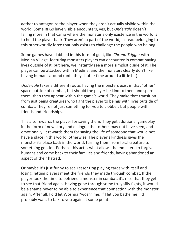aether to antagonize the player when they aren't actually visible within the world. Some RPGs have visible encounters, yes, but *Undertale* doesn't, falling more in that camp where the monster's only existence in the world is to hold the player back. They aren't a part of the world, instead belonging to this otherworldly force that only exists to challenge the people who belong.

Some games have dabbled in this form of guilt, like *Chrono Trigger* with Medina Village, featuring monsters players can encounter in combat having lives outside of it, but here, we instantly see a more simplistic side of it. The player can be attacked within Medina, and the monsters clearly don't like having humans around (until they shuffle time around a little bit).

*Undertale* takes a different route, having the monsters exist in that "other" space outside of combat, but should the player be kind to them and spare them, then they appear within the game's world. They make that transition from just being creatures who fight the player to beings with lives outside of combat. They're not just something for you to clobber, but people with friends and friendships.

This also rewards the player for saving them. They get additional gameplay in the form of new story and dialogue that others may not have seen, and emotionally, it rewards them for saving the life of someone that would not have a place in this world, otherwise. The player's kindness gives the monster its place back in the world, turning them from feral creature to something gentler. Perhaps this act is what allows the monsters to forgive humans and come back to their families and friends, having abandoned an aspect of their hatred.

Or maybe it's just funny to see Lesser Dog playing cards with itself and losing, letting players meet the friends they made through combat. If the player took the time to befriend a monster in combat, it's nice that they get to see that friend again. Having gone through some truly silly fights, it would be a shame never to be able to experience that connection with the monster again. After all, I did let Woshua "wosh" me. If I let you bathe me, I'd probably want to talk to you again at some point.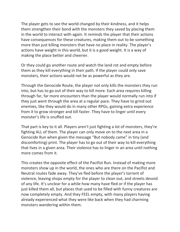The player gets to see the world changed by their kindness, and it helps them strengthen their bond with the monsters they saved by placing them in the world to interact with again. It reminds the player that their actions have consequences for these creatures, making them out to be something more than just killing monsters that have no place in reality. The player's actions have weight in this world, but it is a good weight. It is a way of making the place better and cheerier.

Or they could go another route and watch the land rot and empty before them as they kill everything in their path. If the player could only save monsters, their actions would not be as powerful as they are.

Through the Genocide Route, the player not only kills the monsters they run into, but has to go out of their way to kill more. Each area requires killing through far, far more encounters than the player would normally run into if they just went through the area at a regular pace. They have to grind out enemies, like they would do in many other RPGs, gaining extra experience from it to grow stronger and kill faster. They have to linger until every monster's life is snuffed out.

That part is key to it all. Players aren't just fighting a lot of monsters, they're fighting ALL of them. The player can only move on to the next area in a Genocide Run when given the message "But nobody came" in tiny (and discomforting) print. The player has to go out of their way to kill everything that lives in a given area. Their violence has to linger in an area until nothing more comes from it.

This creates the opposite effect of the Pacifist Run. Instead of making more monsters show up in the world, the ones who are there on the Pacifist and Neutral routes fade away. They've fled before the player's torrent of violence, leaving shops empty for the player to clean out, and streets devoid of any life. It's unclear for a while how many have fled or if the player has just killed them all, but places that used to be filled with funny creatures are now completely empty. And they FEEL empty, with many players having already experienced what they were like back when they had charming monsters wandering within them.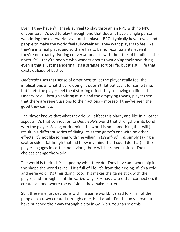Even if they haven't, it feels surreal to play through an RPG with no NPC encounters. It's odd to play through one that doesn't have a single person wandering the overworld save for the player. RPGs typically have towns and people to make the world feel fully-realized. They want players to feel like they're in a real place, and so there has to be non-combatants, even if they're not exactly riveting conversationalists with their talk of bandits in the north. Still, they're people who wander about town doing their own thing, even if that's just meandering. It's a strange sort of life, but it's still life that exists outside of battle.

*Undertale* uses that sense of emptiness to let the player really feel the implications of what they're doing. It doesn't flat out say it for some time, but it lets the player feel the distorting effect they're having on life in the Underworld. Through shifting music and the emptying towns, players see that there are repercussions to their actions – moreso if they've seen the good they can do.

The player knows that what they do will affect this place, and like in all other aspects, it's that connection to *Undertale*'s world that strengthens its bond with the player. Saving or dooming the world is not something that will just result in a different series of dialogues at the game's end with no other effects. It's not like joining with the villain in *Breath of Fire*, simply taking a seat beside it (although that did blow my mind that I could do that). If the player engages in certain behaviors, there will be repercussions. Their choices change the world.

The world is theirs. It's shaped by what they do. They have an ownership in the shape the world takes. If it's full of life, it's from their doing. If it's a cold and eerie void, it's their doing, too. This makes the game stick with the player, and through all of the varied ways Fox has crafted that connection, it creates a bond where the decisions they make matter.

Still, these are just decisions within a game world. It's sad to kill all of the people in a town created through code, but I doubt I'm the only person to have punched their way through a city in *Oblivion*. You can see this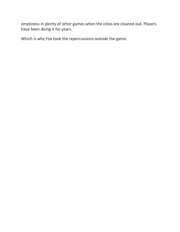emptiness in plenty of other games when the cities are cleaned out. Players have been doing it for years.

Which is why Fox took the repercussions outside the game.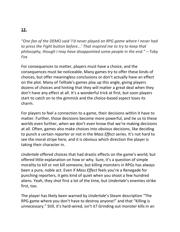### **12.**

*"One fan of the DEMO said 'I'd never played an RPG game where I never had to press the Fight button before...' That inspired me to try to keep that philosophy, though I may have disappointed some people in the end." – Toby Fox*

For consequences to matter, players must have a choice, and the consequences must be noticeable. Many games try to offer these kinds of choices, but offer meaningless conclusions or don't actually have an effect on the plot. Many of Telltale's games play up this angle, giving players dozens of choices and hinting that they will matter a great deal when they don't have any effect at all. It's a wonderful trick at first, but soon players start to catch on to the gimmick and the choice-based aspect loses its charm.

For players to feel a connection to a game, their decisions within it have to matter. Further, those decisions become more powerful, and tie us to these worlds even further, when we don't even know that we're making decisions at all. Often, games also make choices into obvious decisions, like deciding to punch a certain reporter or not in the *Mass Effect* series. It's not hard to see the moral stripe here, and it is obvious which direction the player is taking their character in.

*Undertale* offered choices that had drastic effects on the game's world, but offered little explanation on how or why. Sure, it's a question of simple morality to kill or not kill someone, but killing monsters in RPGs has always been a pure, noble act. Even if *Mass Effect* feels you're a Renegade for punching reporters, it gets kind of quiet when you shoot a few hundred aliens. Yeah, they shot first a lot of the time, but *Undertale*'s enemies strike first, too.

The player has likely been warned by *Undertale*'s Steam description "The RPG game where you don't have to destroy anyone!" and that "Killing is unnecessary." Still, it's hard-wired, isn't it? Grinding out monster kills in an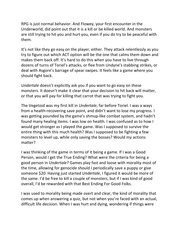RPG is just normal behavior. And Flowey, your first encounter in the Underworld, did point out that it is a kill or be killed world. And monsters are still trying to hit you and hurt you, even if you do try to be peaceful with them.

It's not like they go easy on the player, either. They attack relentlessly as you try to figure out which ACT option will be the one that calms them down and makes them back off. It's hard to do this when you have to live through dozens of turns of Toriel's attacks, or flee from Undyne's stabbing strikes, or deal with Asgore's barrage of spear swipes. It feels like a game where you should fight back.

*Undertale* doesn't explicitly ask you if you want to go easy on these monsters. It doesn't make it clear that your decision to hit back will matter, or that you will pay for killing that carrot that was trying to fight you.

The Vegetoid was my first kill in *Undertale*, far before Toriel. I was a ways from a health-recovering save point, and didn't want to lose my progress. I was getting pounded by the game's shmup-like combat system, and hadn't found many healing items. I was low on health. I was confused as to how I would get stronger as I played the game. Was I supposed to survive the entire thing with this much health? Was I supposed to be fighting a few monsters to level up, while only saving the bosses? Would my actions matter?

I was thinking of the game in terms of it being a game. If I was a Good Person, would I get the True Ending? What were the criteria for being a good person in *Undertale*? Games play fast and loose with morality most of the time, allowing for genocide should I periodically save a puppy or give someone \$20. Having just started *Undertale*, I figured it would be more of the same. I'd be free to kill a couple of monsters, but if I was kind of good overall, I'd be rewarded with that Best Ending For Good Folks.

I was used to morality being made overt and clear, the kind of morality that comes up when answering a quiz, but not when you're faced with an actual, difficult life decision. When I was hurt and dying, wondering if things were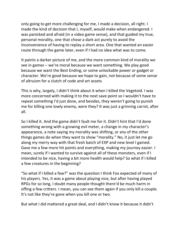only going to get more challenging for me, I made a decision, all right. I made the kind of decision that I, myself, would make when endangered. I was panicked and afraid (in a video game sense), and that guided my true, personal morality, one that chose a dark act purely to avoid the inconvenience of having to replay a short area. One that wanted an easier route through the game later, even if I had no idea what was to come.

It paints a darker picture of me, and the more common kind of morality we see in games – we're moral because we want something. We play good because we want the Best Ending, or some unlockable power or gadget or character. We're good because we hope to gain, not because of some sense of altruism for a clutch of code and art assets.

This is why, largely, I didn't think about it when I killed the Vegetoid. I was more concerned with making it to the next save point so I wouldn't have to repeat something I'd just done, and besides, they weren't going to punish me for killing one lowly enemy, were they? It was just a grinning carrot, after all.

So I killed it. And the game didn't fault me for it. Didn't hint that I'd done something wrong with a growing evil meter, a change in my character's appearance, a note saying my morality was shifting, or any of the other things games do when they want to show "morality." No, it just let me go along my merry way with that fresh batch of EXP and new level I gained. Gave me a few more hit points and everything, making my journey easier. I mean, surely if I wanted to survive against all of these monsters, even if I intended to be nice, having a bit more health would help? So what if I killed a few creatures in the beginning?

"So what if I killed a few?" was the question I think Fox expected of many of his players. Yes, it was a game about playing nice, but after having played RPGs for so long, I doubt many people thought there'd be much harm in offing a few critters. I mean, you can see them again if you only kill a couple. It's not like they're gone when you kill one or two.

But what I did mattered a great deal, and I didn't know it because it didn't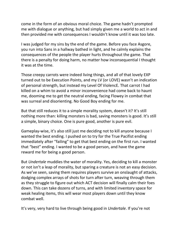come in the form of an obvious moral choice. The game hadn't prompted me with dialogue or anything, but had simply given me a world to act in and then provided me with consequences I wouldn't know until it was too late.

I was judged for my sins by the end of the game. Before you face Asgore, you run into Sans in a hallway bathed in light, and he calmly explains the consequences of the people the player hurts throughout the game. That there is a penalty for doing harm, no matter how inconsequential I thought it was at the time.

Those creepy carrots were indeed living things, and all of that lovely EXP turned out to be Execution Points, and my LV (or LOVE) wasn't an indication of personal strength, but instead my Level Of ViolencE. That carrot I had killed on a whim to avoid a minor inconvenience had come back to haunt me, dooming me to get the neutral ending, facing Flowey in combat that was surreal and disorienting. No Good Boy ending for me.

But that still reduces it to a simple morality system, doesn't it? It's still nothing more than: killing monsters is bad, saving monsters is good. It's still a simple, binary choice. One is pure good, another is pure evil.

Gameplay-wise, it's also still just me deciding not to kill anyone because I wanted the best ending. I pushed on to try for the True Pacifist ending immediately after "failing" to get that best ending on the first run. I wanted that "best" ending. I wanted to be a good person, and have the game reward me for being a good person.

But *Undertale* muddies the water of morality. Yes, deciding to kill a monster or not isn't a leap of morality, but sparing a creature is not an easy decision. As we've seen, saving them requires players survive an onslaught of attacks, dodging complex arrays of shots for turn after turn, weaving through them as they struggle to figure out which ACT decision will finally calm their foes down. This can take dozens of turns, and with limited inventory space for weak healing items, this will wear most players down until they know combat well.

It's very, very hard to live through being good in *Undertale*. If you're not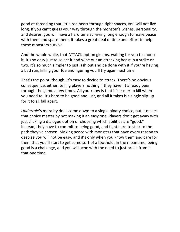good at threading that little red heart through tight spaces, you will not live long. If you can't guess your way through the monster's wishes, personality, and desires, you will have a hard time surviving long enough to make peace with them and spare them. It takes a great deal of time and effort to help these monsters survive.

And the whole while, that ATTACK option gleams, waiting for you to choose it. It's so easy just to select it and wipe out an attacking beast in a strike or two. It's so much simpler to just lash out and be done with it if you're having a bad run, killing your foe and figuring you'll try again next time.

That's the point, though. It's easy to decide to attack. There's no obvious consequence, either, telling players nothing if they haven't already been through the game a few times. All you know is that it's easier to kill when you need to. It's hard to be good and just, and all it takes is a single slip-up for it to all fall apart.

*Undertale*'s morality does come down to a single binary choice, but it makes that choice matter by not making it an easy one. Players don't get away with just clicking a dialogue option or choosing which abilities are "good." Instead, they have to commit to being good, and fight hard to stick to the path they've chosen. Making peace with monsters that have every reason to despise you will not be easy, and it's only when you know them and care for them that you'll start to get some sort of a foothold. In the meantime, being good is a challenge, and you will ache with the need to just break from it that one time.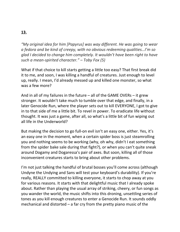#### **13.**

*"My original idea for him [Papyrus] was way different. He was going to wear a fedora and be kind of creepy, with no obvious redeeming qualities…I'm so glad I decided to change him completely. It wouldn't have been right to have such a mean-spirited character." – Toby Fox (5)*

What if that choice to kill starts getting a little too easy? That first break did it to me, and soon, I was killing a handful of creatures. Just enough to level up, really. I mean, I'd already messed up and killed one monster, so what was a few more?

And in all of my failures in the future – all of the GAME OVERs – it grew stronger. It wouldn't take much to tumble over that edge, and finally, in a later Genocide Run, where the player sets out to kill EVERYONE, I got to give in to that side of me a little bit. To revel in power. To eradicate life without thought. It was just a game, after all, so what's a little bit of fun wiping out all life in the Underworld?

But making the decision to go full-on evil isn't an easy one, either. Yes, it's an easy one in the moment, when a certain spider boss is just steamrolling you and nothing seems to be working (why, oh why, didn't I eat something from the spider bake sale during that fight?), or when you can't quite sneak around Dogamy and Dogaressa's pair of axes. But soon, killing all of those inconvenient creatures starts to bring about other problems.

I'm not just talking the handful of brutal bosses you'll come across (although Undyne the Undying and Sans will test your keyboard's durability). If you're really, REALLY committed to killing everyone, it starts to chop away at you for various reasons. It starts with that delightful music that I already spoke about. Rather than playing the usual array of striking, cheery, or fun songs as you wander the world, the music shifts into this droning, unsettling series of tones as you kill enough creatures to enter a Genocide Run. It sounds oddly mechanical and distorted – a far cry from the pretty piano music of the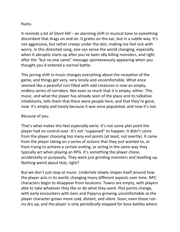### Ruins.

It reminds a bit of *Silent Hill* – an alarming shift in musical tone to something discordant that drags on and on. It grates on the ear, but in a subtle way. It's not aggressive, but rather creeps under the skin, making me feel sick with worry. In this distorted song, one can sense the world changing, especially when it abruptly starts up after you've been idly killing monsters, and right after the "but no one came" message spontaneously appearing when you thought you'd entered a normal battle.

This jarring shift in music changes everything about the reception of the game, and things get very, very lonely and uncomfortable. What once seemed like a peaceful ruin filled with odd creatures is now an empty, endless series of corridors. Not even so much that it is empty, either. This music, and what the player has already seen of the place and its talkative inhabitants, tells them that there were people here, and that they're gone, now. It's empty and lonely because it was once populated, and now it's not.

### Because of you.

That's what makes this feel especially eerie. It's not some plot point the player had no control over. It's not "supposed" to happen. It didn't come from the player choosing too many evil points (at least, not overtly). It came from the player taking on a series of actions that they just wanted to, or from trying to achieve a certain ending, or acting in the same way they typically act when playing an RPG. It's something the player chose, accidentally or purposely. They were just grinding monsters and levelling up. Nothing weird about that, right?

But we don't just stop at music. *Undertale* slowly shapes itself around how the player acts in its world, changing many different aspects over time. NPC characters begin to disappear from locations. Towns are empty, with players able to take whatever they like or do what they want. Plot points change, with early encounters with Sans and Papyrus growing uncomfortable as the player character grows more cold, distant, and silent. Soon, even those runins dry up, and the player is only periodically stopped for boss battles where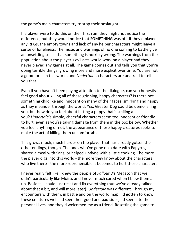the game's main characters try to stop their onslaught.

If a player were to do this on their first run, they might not notice the difference, but they would notice that SOMETHING was off. If they'd played any RPGs, the empty towns and lack of any helper characters might leave a sense of loneliness. The music and warnings of no one coming to battle give an unsettling sense that something is horribly wrong. The warnings from the population about the player's evil acts would work on a player had they never played any games at all. The game comes out and tells you that you're doing terrible things, growing more and more explicit over time. You are not a good force in this world, and *Undertale*'s characters are unafraid to tell you that.

Even if you haven't been paying attention to the dialogue, can you honestly feel good about killing all of these grinning, happy characters? Is there not something childlike and innocent on many of their faces, smirking and happy as they meander through the world. Yes, Greater Dog could be demolishing you, but how do you feel about hitting a puppy that's smiling at you? *Undertale*'s simple, cheerful characters seem too innocent or friendly to hurt, even as you're taking damage from them in the box below. Whether you feel anything or not, the appearance of these happy creatures seeks to make the act of killing them uncomfortable.

This grows much, much harder on the player that has already gotten the other endings, though. The ones who've gone on a date with Papyrus, shared a meal with Sans, or helped Undyne with a little cooking. The more the player digs into this world - the more they know about the characters who live there - the more reprehensible it becomes to hurt those characters

I never really felt like I knew the people of *Fallout 3*'s Megaton that well. I didn't particularly like Moira, and I never much cared when I blew them all up. Besides, I could just reset and fix everything (but we've already talked about that a bit, and will more later). *Undertale* was different. Through my encounters with them, in battle and on the world map, I'd gotten to know these creatures well. I'd seen their good and bad sides, I'd seen into their personal lives, and they'd welcomed me as a friend. Resetting the game to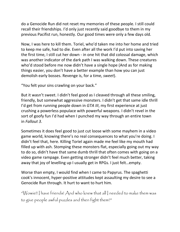do a Genocide Run did not reset my memories of these people. I still could recall their friendships. I'd only just recently said goodbye to them in my previous Pacifist run, honestly. Our good times were only a few days old.

Now, I was here to kill them. Toriel, who'd taken me into her home and tried to keep me safe, had to die. Even after all the work I'd put into saving her the first time, I still cut her down - in one hit that did colossal damage, which was another indicator of the dark path I was walking down. These creatures who'd stood before me now didn't have a single hope (And as for making things easier, you don't have a better example than how you can just demolish early bosses. Revenge is, for a time, *sweet*).

"You felt your sins crawling on your back."

But it wasn't sweet. I didn't feel good as I cleaved through all these smiling, friendly, but somewhat aggressive monsters. I didn't get that same idle thrill I'd get from running people down in *GTA III*, my first experience at just crushing a powerless populace with powerful weapons. I didn't revel in the sort of goofy fun I'd had when I punched my way through an entire town in *Fallout 3*.

Sometimes it does feel good to just cut loose with some mayhem in a video game world, knowing there's no real consequences to what you're doing. I didn't feel that, here. Killing Toriel again made me feel like my mouth had filled up with ash. Stomping these monsters flat, especially going out my way to do so, didn't have that same dumb thrill that often comes with going on a video game rampage. Even getting stronger didn't feel much better, taking away that joy of levelling up I usually get in RPGs. I just felt…empty.

Worse than empty, I would find when I came to Papyrus. The spaghetti cook's innocent, hyper-positive attitudes kept assaulting my desire to see a Genocide Run through. It hurt to want to hurt him.

"Wowie!! I have friends! And who knew that all I needed to make them was to give people awful puzzles and then fight them?"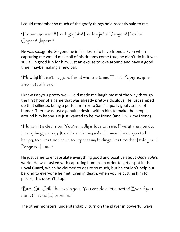I could remember so much of the goofy things he'd recently said to me.

"Prepare yourself!! For high jinks! For low jinks! Dangers! Puzzles! Capers! Japers!"

He was so…goofy. So genuine in his desire to have friends. Even when capturing me would make all of his dreams come true, he didn't do it. It was still all in good fun for him. Just an excuse to joke around and have a good time, maybe making a new pal.

"Howdy! If it isn't my good friend who trusts me. This is Papyrus, your also mutual friend."

I knew Papyrus pretty well. He'd made me laugh most of the way through the first hour of a game that was already pretty ridiculous. He just ramped up that silliness, being a perfect mirror to Sans' equally goofy sense of humor. There was just a genuine desire within him to make the people around him happy. He just wanted to be my friend (and ONLY my friend).

"Human. It's clear now. You're madly in love with me. Everything you do. Everything you say. It's all been for my sake. Human, I want you to be happy, too. It's time for me to express my feelings. It's time that I told you. I, Papyrus…I…um…"

He just came to encapsulate everything good and positive about *Undertale*'s world. He was tasked with capturing humans in order to get a spot in the Royal Guard, which he claimed to desire so much, but he couldn't help but be kind to everyone he met. Even in death, when you're cutting him to pieces, this doesn't stop.

"But…St…Still! I believe in you! You can do a little better! Even if you don't think so! ... promise..."

The other monsters, understandably, turn on the player in powerful ways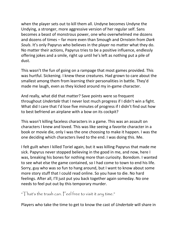when the player sets out to kill them all. Undyne becomes Undyne the Undying, a stronger, more aggressive version of her regular self. Sans becomes a beast of monstrous power, one who overwhelmed me dozens and dozens of times – far more even than Smough and Ornstein from *Dark Souls*. It's only Papyrus who believes in the player no matter what they do. No matter their actions, Papyrus tries to be a positive influence, endlessly offering jokes and a smile, right up until he's left as nothing put a pile of dust.

This wasn't the fun of going on a rampage that most games provided. This was hurtful. Sickening. I knew these creatures. Had grown to care about the smallest among them from learning their personalities in battle. They'd made me laugh, even as they kicked around my in-game character.

And really, what did that matter? Save points were so frequent throughout *Undertale* that I never lost much progress if I didn't win a fight. What did I care that I'd lose five minutes of progress if I didn't find out how to best befriend an airplane with a bow on its cockpit?

This wasn't killing faceless characters in a game. This was an assault on characters I knew and loved. This was like seeing a favorite character in a book or movie die, only I was the one choosing to make it happen. I was the one deciding which characters lived to the end. I was doing this. Me.

I felt guilt when I killed Toriel again, but it was killing Papyrus that made me sick. Papyrus never stopped believing in the good in me, and now, here I was, breaking his bones for nothing more than curiosity. Boredom. I wanted to see what else the game contained, so I had come to town to end his life. Sorry, guy who was so fun to hang around, but I want to know about some more story stuff that I could read online. So you have to die. No hard feelings. After all, I'll just put you back together again someday. No one needs to feel put out by this temporary murder.

"That's the trash can. Feel free to visit it any time."

Players who take the time to get to know the cast of *Undertale* will share in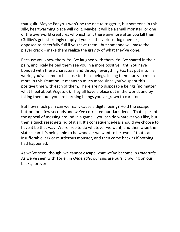that guilt. Maybe Papyrus won't be the one to trigger it, but someone in this silly, heartwarming place will do it. Maybe it will be a small monster, or one of the overworld creatures who just isn't there anymore after you kill them (Grillby's gets startlingly empty if you kill the various dog enemies, as opposed to cheerfully full if you save them), but someone will make the player crack – make them realize the gravity of what they've done.

Because you know them. You've laughed with them. You've shared in their pain, and likely helped them see you in a more positive light. You have bonded with these characters, and through everything Fox has put into his world, you've come to be close to these beings. Killing them hurts so much more in this situation. It means so much more since you've spent this positive time with each of them. There are no disposable beings (no matter what I feel about Vegetoid). They all have a place out in the world, and by taking them out, you are harming beings you've grown to care for.

But how much pain can we really cause a digital being? Hold the escape button for a few seconds and we've corrected our dark deeds. That's part of the appeal of messing around in a game – you can do whatever you like, but then a quick reset gets rid of it all. It's consequence-less should we choose to have it be that way. We're free to do whatever we want, and then wipe the slate clean. It's being able to be whoever we want to be, even if that's an insufferable jerk or murderous monster, and then come back as if nothing had happened.

As we've seen, though, we cannot escape what we've become in *Undertale*. As we've seen with Toriel, in *Undertale*, our sins are ours, crawling on our backs, forever.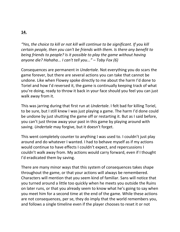#### **14.**

*"Yes, the choice to kill or not kill will continue to be significant. If you kill certain people, then you can't be friends with them. Is there any benefit to being friends to people? Is it possible to play the game without having anyone die? Hahaha... I can't tell you..." – Toby Fox (6)*

Consequences are permanent in *Undertale*. Not everything you do scars the game forever, but there are several actions you can take that cannot be undone. Like when Flowey spoke directly to me about the harm I'd done to Toriel and how I'd reversed it, the game is continually keeping track of what you're doing, ready to throw it back in your face should you feel you can just walk away from it.

This was jarring during that first run at *Undertale*. I felt bad for killing Toriel, to be sure, but I still knew I was just playing a game. The harm I'd done could be undone by just shutting the game off or restarting it. But as I said before, you can't just throw away your past in this game by playing around with saving. *Undertale* may forgive, but it doesn't forget.

This went completely counter to anything I was used to. I couldn't just play around and do whatever I wanted. I had to behave myself as if my actions would continue to have effects I couldn't expect, and repercussions I couldn't walk away from. My actions would carry forward, even if I thought I'd eradicated them by saving.

There are many minor ways that this system of consequences takes shape throughout the game, or that your actions will always be remembered. Characters will mention that you seem kind of familiar. Sans will notice that you turned around a little too quickly when he meets you outside the Ruins on later runs, or that you already seem to know what he's going to say when you meet him for a second time at the end of the game. While these actions are not consequences, per se, they do imply that the world remembers you, and follows a single timeline even if the player chooses to reset it or not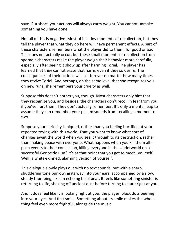save. Put short, your actions will always carry weight. You cannot unmake something you have done.

Not all of this is negative. Most of it is tiny moments of recollection, but they tell the player that what they do here will have permanent effects. A part of these characters remembers what the player did to them, for good or bad. This does not actually occur, but these small moments of recollection from sporadic characters make the player weigh their behavior more carefully, especially after seeing it show up after harming Toriel. The player has learned that they cannot erase that harm, even if they so desire. The consequences of their actions will last forever no matter how many times they revive Toriel. And perhaps, on the same level that she recognizes you on new runs, she remembers your cruelty as well.

Suppose this doesn't bother you, though. Most characters only hint that they recognize you, and besides, the characters don't recoil in fear from you if you've hurt them. They don't actually remember. It's only a mental leap to assume they can remember your past misdeeds from recalling a moment or two.

Suppose your curiosity is piqued, rather than you feeling horrified at your repeated toying with this world. That you want to know what sort of changes await the world when you see it through to its destruction, rather than making peace with everyone. What happens when you kill them all push events to their conclusion, killing everyone in the Underworld on a successful Genocide Run? It's at that point that you get to meet…yourself. Well, a white-skinned, alarming version of yourself.

This dialogue slowly plays out with no text sounds, but with a sharp, shuddering tone burrowing its way into your ears, accompanied by a slow, steady thumping, like an echoing heartbeat. It feels like something sinister is returning to life, shaking off ancient dust before turning to stare right at you.

And it does feel like it is looking right at you, the player, black dots peering into your eyes. And that smile. Something about its smile makes the whole thing feel even more frightful, alongside the music.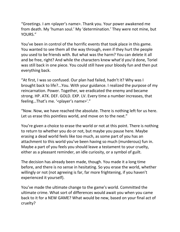"Greetings. I am <player's name>. Thank you. Your power awakened me from death. My 'human soul.' My 'determination.' They were not mine, but YOURS."

You've been in control of the horrific events that took place in this game. You wanted to see them all the way through, even if they hurt the people you used to be friends with. But what was the harm? You can delete it all and be free, right? And while the characters knew what'd you'd done, Toriel was still back in one piece. You could still have your bloody fun and then put everything back.

"At first, I was so confused. Our plan had failed, hadn't it? Why was I brought back to life?...You. With your guidance. I realized the purpose of my reincarnation. Power. Together, we eradicated the enemy and became strong. HP. ATK. DEF. GOLD. EXP. LV. Every time a number increases, that feeling...That's me. '<player's name>'."

"Now. Now, we have reached the absolute. There is nothing left for us here. Let us erase this pointless world, and move on to the next."

You're given a choice to erase the world or not at this point. There is nothing to return to whether you do or not, but maybe you pause here. Maybe erasing a dead world feels like too much, as some part of you has an attachment to this world you've been having so much (murderous) fun in. Maybe a part of you feels you should leave a testament to your cruelty, either as a pleasant reminder, an idle curiosity, or a symbol of guilt.

The decision has already been made, though. You made it a long time before, and there is no sense in hesitating. So you erase the world, whether willingly or not (not agreeing is far, far more frightening, if you haven't experienced it yourself).

You've made the ultimate change to the game's world. Committed the ultimate crime. What sort of differences would await you when you came back to it for a NEW GAME? What would be new, based on your final act of cruelty?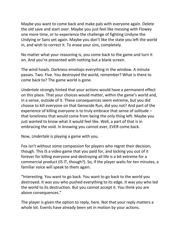Maybe you want to come back and make pals with everyone again. Delete the old save and start over. Maybe you just feel like messing with Flowey one more time, or to experience the challenge of fighting Undyne the Undying or Sans yet again. Maybe you don't like the state you left the world in, and wish to correct it. To erase your sins, completely.

No matter what your reasoning is, you come back to the game and turn it on. And you're presented with nothing but a blank screen.

The wind howls. Darkness envelops everything in the window. A minute passes. Two. Five. You destroyed the world, remember? What is there to come back to? The game world is gone.

*Undertale* strongly hinted that your actions would have a permanent effect on this place. That your choices would matter, within the game's world and, in a sense, outside of it. These consequences seem extreme, but you did choose to kill everyone on that Genocide Run, did you not? And part of the experience of killing everyone is to truly embrace that sense of solitude – that loneliness that would come from being the only thing left. Maybe you just wanted to know what it would feel like. Well, a part of that is in embracing the void. In knowing you cannot ever, EVER come back.

Now, *Undertale* is playing a game with you.

Fox isn't without some compassion for players who regret their decision, though. This IS a video game that you paid for, and locking you out of it forever for killing everyone and destroying all life is a bit extreme for a commercial product (IS IT, though?). So, if the player waits for ten minutes, a familiar voice will speak to them again.

"Interesting. You want to go back. You want to go back to the world you destroyed. It was you who pushed everything to its edge. It was you who led the world to its destruction. But you cannot accept it. You think you are above consequences."

The player is given the option to reply, here. Not that your reply matters a whole lot. Events have already been set in motion by your actions.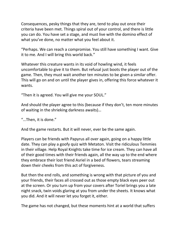Consequences, pesky things that they are, tend to play out once their criteria have been met. Things spiral out of your control, and there is little you can do. You have set a stage, and must live with the domino effect of what you've done, no matter what you feel about it.

"Perhaps. We can reach a compromise. You still have something I want. Give it to me. And I will bring this world back."

Whatever this creature wants in its void of howling wind, it feels uncomfortable to give it to them. But refusal just boots the player out of the game. Then, they must wait another ten minutes to be given a similar offer. This will go on and on until the player gives in, offering this force whatever it wants.

"Then it is agreed. You will give me your SOUL."

And should the player agree to this (because if they don't, ten more minutes of waiting in the shrieking darkness awaits)…

"…Then, it is done."

And the game restarts. But it will never, ever be the same again.

Players can be friends with Papyrus all over again, going on a happy little date. They can play a goofy quiz with Metaton. Visit the ridiculous Temmies in their village. Help Royal Knights take time for ice cream. They can have all of their good times with their friends again, all the way up to the end where they embrace their lost friend Asriel in a bed of flowers, tears streaming down their cheeks from this act of forgiveness.

But then the end rolls, and something is wrong with that picture of you and your friends, their faces all crossed out as those empty black eyes peer out at the screen. Or you turn up from your covers after Toriel brings you a late night snack, twin voids glaring at you from under the sheets. It knows what you did. And it will never let you forget it, either.

The game has not changed, but these moments hint at a world that suffers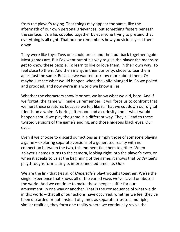from the player's toying. That things may appear the same, like the aftermath of our own personal grievances, but something festers beneath the surface. It's a lie, cobbled together by everyone trying to pretend that everything is all right. That no one remembers how you viciously cut them down.

They were like toys. Toys one could break and then put back together again. Most games are. But Fox went out of his way to give the player the means to get to know these people. To learn to like or love them, in their own way. To feel close to them. And then many, in their curiosity, chose to tear them apart just the same. Because we wanted to know more about them. Or maybe just see what would happen when the knife plunged in. So we poked and prodded, and now we're in a world we know is lies.

Whether the characters show it or not, we know what we did, here. And if we forget, the game will make us remember. It will force us to confront that we hurt these creatures because we felt like it. That we cut down our digital friends on a whim. A boring afternoon and a curiosity about what would happen should we play the game in a different way. They all lead to these twisted versions of the game's ending, and those hideous black eyes. Our eyes.

Even if we choose to discard our actions as simply those of someone playing a game – exploring separate versions of a generated reality with no connection between the two, this moment ties them together. When <player's name> turns to the camera, looking right into the player's eyes, or when it speaks to us at the beginning of the game, it shows that *Undertale*'s playthroughs form a single, interconnected timeline. Ours.

We are the link that ties all of *Undertale*'s playthroughs together. We're the single experience that knows all of the varied ways we've saved or abused the world. And we continue to make these people suffer for our amusement, in one way or another. That is the consequence of what we do in this world – that all of our actions have occurred, whether we feel they've been discarded or not. Instead of games as separate trips to a multiple, similar realities, they form one reality where we continually revive the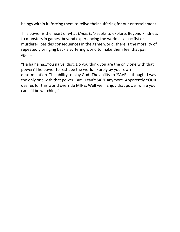beings within it, forcing them to relive their suffering for our entertainment.

This power is the heart of what *Undertale* seeks to explore. Beyond kindness to monsters in games, beyond experiencing the world as a pacifist or murderer, besides consequences in the game world, there is the morality of repeatedly bringing back a suffering world to make them feel that pain again.

"Ha ha ha ha…You naïve idiot. Do you think you are the only one with that power? The power to reshape the world…Purely by your own determination. The ability to play God! The ability to 'SAVE.' I thought I was the only one with that power. But…I can't SAVE anymore. Apparently YOUR desires for this world override MINE. Well well. Enjoy that power while you can. I'll be watching."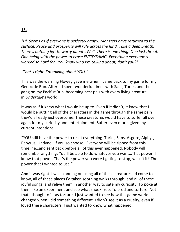# *"Hi. Seems as if everyone is perfectly happy. Monsters have returned to the surface. Peace and prosperity will rule across the land. Take a deep breath. There's nothing left to worry about…Well. There is one thing. One last threat. One being with the power to erase EVERYTHING. Everything everyone's worked so hard for…You know who I'm talking about, don't you?"*

*"That's right. I'm talking about YOU."*

This was the warning Flowey gave me when I came back to my game for my Genocide Run. After I'd spent wonderful times with Sans, Toriel, and the gang on my Pacifist Run, becoming best pals with every living creature in *Undertale*'s world.

It was as if it knew what I would be up to. Even if it didn't, it knew that I would be putting all of the characters in the game through the same pain they'd already just overcome. These creatures would have to suffer all over again for my curiosity and entertainment. Suffer even more, given my current intentions.

"YOU still have the power to reset everything. Toriel, Sans, Asgore, Alphys, Papyrus, Undyne…If you so choose…Everyone will be ripped from this timeline…and sent back before all of this ever happened. Nobody will remember anything. You'll be able to do whatever you want…That power. I know that power. That's the power you were fighting to stop, wasn't it? The power that I wanted to use."

And it was right. I was planning on using all of these creatures I'd come to know, all of these places I'd taken soothing walks through, and all of these joyful songs, and relive them in another way to sate my curiosity. To poke at them like an experiment and see what shook free. To prod and torture. Not that I thought of it as torture. I just wanted to see how this game world changed when I did something different. I didn't see it as a cruelty, even if I loved these characters. I just wanted to know what happened.

#### **15.**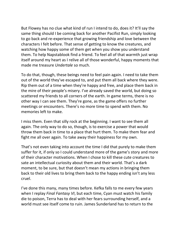But Flowey has no clue what kind of run I intend to do, does it? It'll say the same thing should I be coming back for another Pacifist Run, simply looking to go back and re-experience that growing friendship and love between the characters I felt before. That sense of getting to know the creatures, and watching how happy some of them get when you show you understand them. To help Napstablook find a friend. To feel all of that warmth just wrap itself around my heart as I relive all of those wonderful, happy moments that made me treasure *Undertale* so much.

To do that, though, these beings need to feel pain again. I need to take them out of the world they've escaped to, and put them all back where they were. Rip them out of a time when they're happy and free, and place them back in the mire of their people's misery. I've already saved the world, but doing so scattered my friends to all corners of the earth. In game terms, there is no other way I can see them. They're gone, as the game offers no further meetings or encounters. There's no more time to spend with them. No memories left to make.

I miss them. Even that silly rock at the beginning. I want to see them all again. The only way to do so, though, is to exercise a power that would throw them back in time to a place that hurt them. To make them fear and fight me all over again. To take away their happiness for my own.

That's not even taking into account the time I did that purely to make them suffer for it, if only so I could understand more of the game's story and more of their character motivations. When I chose to kill these cute creatures to sate an intellectual curiosity about them and their world. That's a dark moment, to be sure, but that doesn't mean my actions in bringing them back to their old lives to bring them back to the happy ending isn't any less cruel.

I've done this many, many times before. Kefka falls to me every few years when I replay *Final Fantasy VI*, but each time, Cyan must watch his family die to poison, Terra has to deal with her fears surrounding herself, and a world must see itself come to ruin. James Sunderland has to return to the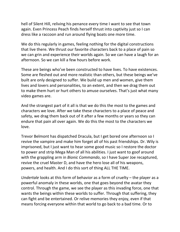hell of Silent Hill, reliving his penance every time I want to see that town again. Even Princess Peach finds herself thrust into captivity just so I can dress like a raccoon and run around flying boats one more time.

We do this regularly in games, feeling nothing for the digital constructions that live there. We thrust our favorite characters back to a place of pain so we can grin and experience their worlds again. So we can have a laugh for an afternoon. So we can kill a few hours before work.

These are beings who've been constructed to have lives. To have existences. Some are fleshed out and more realistic than others, but these beings we've built are only designed to suffer. We build up men and women, give them lives and lovers and personalities, to an extent, and then we drag them out to make them hurt or hurt others to amuse ourselves. That's just what many video games are.

And the strangest part of it all is that we do this the most to the games and characters we love. After we take these characters to a place of peace and safety, we drag them back out of it after a few months or years so they can endure that pain all over again. We do this the most to the characters we love.

Trevor Belmont has dispatched Dracula, but I get bored one afternoon so I revive the vampire and make him forget all of his past friendships. Dr. Wily is imprisoned, but I just want to hear some good music so I restore the doctor to power and strip Mega Man of all his abilities. I just want to goof around with the grappling arm in *Bionic Commando*, so I have Super Joe recaptured, revive the cruel Master D, and have the hero lose all of his weapons, powers, and health. And I do this sort of thing ALL THE TIME.

*Undertale* looks at this form of behavior as a form of cruelty – the player as a powerful anomaly in these worlds, one that goes beyond the avatar they control. Through the game, we see the player as this invading force, one that wants the beings within these worlds to suffer. Through that suffering, they can fight and be entertained. Or relive memories they enjoy, even if that means forcing everyone within that world to go back to a bad time. Or to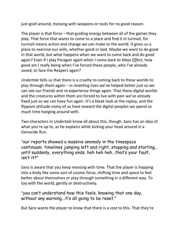just goof around, messing with weapons or tools for no good reason.

The player is that force – that guiding energy between all of the games they play. That force that wants to come to a place and find it in turmoil, for turmoil means action and change we can make to the world. It gives us a place to exercise our wills, whether good or bad. Maybe we want to do good in that world, but what happens when we want to come back and do good again? Even if I play Paragon again when I come back to *Mass Effect*, how good am I really being when I've forced these people, who I've already saved, to face the Reapers again?

*Undertale* tells us that there is a cruelty to coming back to these worlds to play through them again – in resetting lives we've helped better just so we can see our friends and re-experience things again. That these digital worlds and the creatures within them are forced to live with pain we've already fixed just so we can have fun again. It's a bleak look at the replay, and the flippant attitude many of us have toward the digital peoples we spend so much time hanging around with.

Two characters in *Undertale* know all about this, though. Sans has an idea of what you're up to, as he explains while kicking your head around in a Genocide Run.

"our reports showed a massive anomaly in the timespace continuum. timelines jumping left and right. stopping and starting… until suddenly, everything ends. heh heh heh…that's your fault, isn't it?"

Sans is aware that you keep messing with time. That the player is hopping into a body like some sort of cosmic force, shifting time and space to feel better about themselves or play through something in a different way. To toy with the world, gently or destructively.

"you can't understand how this feels. knowing that one day, without any warning...it's all going to be reset."

But Sans wants the player to know that there is a cost to this. That they're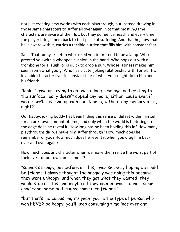not just creating new worlds with each playthrough, but instead drawing in those same characters to suffer all over again. Not that most in-game characters are aware of their lot, but they do feel paineach and every time the player brings them back to that place of suffering. And that he, now that he is aware with it, carries a terrible burden that fills him with constant fear.

Sans. That funny skeleton who asked you to pretend to be a lamp. Who greeted you with a whoopee cushion in the hand. Who pops out with a trombone for a laugh, or is quick to drop a pun. Whose laziness makes him seem somewhat goofy. Who has a cute, joking relationship with Toriel. This loveable character lives in constant fear of what your might do to him and his friends.

"look, I gave up trying to go back a long time ago. and getting to the surface really doesn't appeal any more, either. cause even if we do…we'll just end up right back here, without any memory of it, right?"

Our happy, joking buddy has been hiding this sense of defeat within himself for an unknown amount of time, and only when the world is teetering on the edge does he reveal it. How long has he been holding this in? How many playthroughs did we make him suffer through? How much does he remember of you? How much does he resent it when you drag him back, over and over again?

How much does any character when we make them relive the worst part of their lives for our own amusement?

"sounds strange, but before all this, i was secretly hoping we could be friends. i always thought the anomaly was doing this because they were unhappy. and when they got what they wanted, they would stop all this. and maybe all they needed was…i dunno. some good food. some bad laughs. some nice friends."

"but that's ridiculous, right? yeah, you're the type of person who won't EVER be happy. you'll keep consuming timelines over and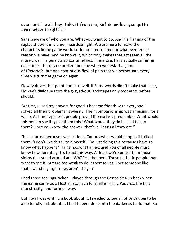over, until…well. hey. take it from me, kid. someday…you gotta learn when to QUIT."

Sans is aware of who you are. What you want to do. And his framing of the replay shows it in a cruel, heartless light. We are here to make the characters in the game world suffer one more time for whatever feeble reason we have. And he knows it, which only makes that act seem all the more cruel. He persists across timelines. Therefore, he is actually suffering each time. There is no broken timeline when we restart a game of *Undertale*, but one continuous flow of pain that we perpetuate every time we turn the game on again.

Flowey drives that point home as well. If Sans' words didn't make that clear, Flowey's dialogue from the grayed-out landscapes only moments before should.

"At first, I used my powers for good. I became friends with everyone. I solved all their problems flawlessly. Their companionship was amusing…for a while. As time repeated, people proved themselves predictable. What would this person say if I gave them this? What would they do if I said this to them? Once you know the answer, that's it. That's all they are."

"It all started because I was curious. Curious what would happen if I killed them. 'I don't like this.' I told myself. 'I'm just doing this because I have to know what happens.' Ha ha ha…what an excuse! You of all people must know how liberating it is to act this way. At least we're better than those sickos that stand around and WATCH it happen…Those pathetic people that want to see it, but are too weak to do it themselves. I bet someone like that's watching right now, aren't they…?"

I had those feelings. When I played through the Genocide Run back when the game came out, I lost all stomach for it after killing Papyrus. I felt my monstrosity, and turned away.

But now I was writing a book about it. I needed to see all of *Undertale* to be able to fully talk about it. I had to peer deep into the darkness to do that. So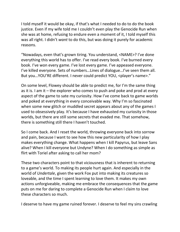I told myself it would be okay, if that's what I needed to do to do the book justice. Even if my wife told me I couldn't even play the Genocide Run when she was at home, refusing to endure even a moment of it, I told myself this was all right. I didn't *want* to do this, but was doing it purely for academic reasons.

"Nowadays, even that's grown tiring. You understand, <NAME>? I've done everything this world has to offer. I've read every book. I've burned every book. I've won every game. I've lost every game. I've appeased everyone. I've killed everyone. Sets of numbers…Lines of dialogue…I've seen them all. But you... YOU'RE different. I never could predict YOU, <player's name>."

On some level, Flowey should be able to predict me, for I'm the same thing as it is. I am it – the explorer who comes to push and poke and prod at every aspect of the game to sate my curiosity. How I've come back to game worlds and poked at everything in every conceivable way. Why I'm so fascinated when some new glitch or muddled secret appears about any of the games I used to obsessively play. It's because I have exhausted my curiosity in those worlds, but there are still some secrets that evaded me. That somehow, there is something still there I haven't touched.

So I come back. And I reset the world, throwing everyone back into sorrow and pain, because I want to see how this new particularity of how I play makes everything change. What happens when I kill Papyrus, but leave Sans alive? When I kill everyone but Undyne? When I do something as simple as flirt with Toriel after asking to call her mom?

These two characters point to that viciousness that is inherent to returning to a game's world. To making its people hurt again. And especially in the world of *Undertale*, given the work Fox put into making its creatures so loveable, and the time I spent learning to love them. It makes my own actions unforgiveable, making me embrace the consequences that the game puts on me for daring to complete a Genocide Run when I claim to love these characters so much.

I deserve to have my game ruined forever. I deserve to feel my sins crawling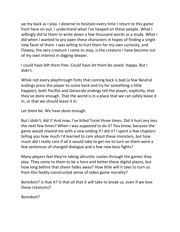up my back as I play. I deserve to hesitate every time I return to this game from here on out. I understand what I've heaped on these people. What I willingly did to them to write down a few thousand words as a study. What I did when I wanted to pry open these characters in hopes of finding a single new facet of them. I was willing to hurt them for my own curiosity, and Flowey, the very creature I came to stop, is the creature I have become out of my own interest in digging deeper.

I could have left them free. Could have let them be saved. Happy. But I didn't.

While not every playthrough hints that coming back is bad (a few Neutral endings press the player to come back and try for something a little happier), both Pacifist and Genocide endings tell the player, explicitly, that they've done enough. That the world is in a place that we can safely leave it in, or that we should leave it in.

Let them be. We have done enough.

But I didn't, did I? And now, I've killed Toriel three times. Did it hurt any less the next few times? When I was *supposed* to do it? You know, because the game would *reward* me with a new ending if I did it? I spent a few chapters telling you how much I'd learned to care about these monsters, but how much did I really care if all it would take to get me to turn on them were a few sentences of changed dialogue and a few new boss fights?

Many players feel they're taking altruistic routes through the games they play. They come to them to be a hero and better these digital places, but how long before that sheen fades away? How little will it take to turn us from this feebly-constructed sense of video game morality?

Boredom? Is that it? Is that all that it will take to break us, even if we love these creatures?

Boredom?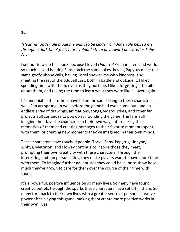#### **16.**

*"Hearing 'Undertale made me want to be kinder' or 'Undertale helped me through a dark time' feels more valuable than any award or score." – Toby Fox*

I set out to write this book because I loved *Undertale*'s characters and world so much. I liked hearing Sans crack the same jokes, having Papyrus make the same goofy phone calls, having Toriel shower me with kindness, and meeting the rest of the oddball cast, both in battle and outside it. I liked spending time with them, even as they hurt me. I liked forgetting little bits about them, and taking the time to learn what they were like all over again.

It's undeniable that others have taken the same liking to these characters as well. Fan art sprung up well before the game had even come out, and an endless array of drawings, animations, songs, videos, jokes, and other fan projects still continues to pop up surrounding the game. The fans still imagine their favorite characters in their own way, internalizing their memories of them and creating homages to their favorite moments spent with them, or creating new moments they've imagined in their own minds.

These characters have touched people. Toriel, Sans, Papyrus, Undyne, Alphys, Mettaton, and Flowey continue to inspire those they meet, prompting their own creativity with these characters. Through their interesting and fun personalities, they make players want to have more time with them. To imagine further adventures they could have, or to show how much they've grown to care for them over the course of their time with them.

It's a powerful, positive influence on so many lives. So many have found creative outlets through the sparks these characters have set off in them. So many turn back to their own lives with a greater sense of personal creative power after playing this game, making them create more positive works in their own lives.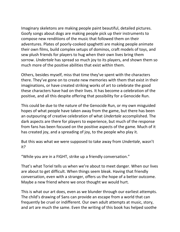Imaginary skeletons are making people paint beautiful, detailed pictures. Goofy songs about dogs are making people pick up their instruments to compose new renditions of the music that followed them on their adventures. Plates of poorly-cooked spaghetti are making people animate their own films, build complex setups of dominos, craft models of toys, and sew plush friends for players to hug when their own lives bring them sorrow. *Undertale* has spread so much joy to its players, and shown them so much more of the positive abilities that exist within them.

Others, besides myself, miss that time they've spent with the characters there. They've gone on to create new memories with them that exist in their imaginations, or have created striking works of art to celebrate the good these characters have had on their lives. It has become a celebration of the positive, and all this despite offering that possibility for a Genocide Run.

This could be due to the nature of the Genocide Run, or my own misguided hopes of what people have taken away from the game, but there has been an outpouring of creative celebration of what *Undertale* accomplished. The dark aspects are there for players to experience, but much of the response from fans has been focused on the positive aspects of the game. Much of it has created joy, and a spreading of joy, to the people who play it.

But this was what we were supposed to take away from *Undertale*, wasn't it?

"While you are in a FIGHT, strike up a friendly conversation."

That's what Toriel tells us when we're about to meet danger. When our lives are about to get difficult. When things seem bleak. Having that friendly conversation, even with a stranger, offers us the hope of a better outcome. Maybe a new friend where we once thought we would hurt.

This is what our art does, even as we blunder through our earliest attempts. The child's drawing of Sans can provide an escape from a world that can frequently be cruel or indifferent. Our own adult attempts at music, story, and art are much the same. Even the writing of this book has helped soothe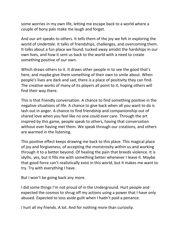some worries in my own life, letting me escape back to a world where a couple of bony pals make me laugh and forget.

And our art speaks to others. It tells them of the joy we felt in exploring the world of *Undertale*. It talks of friendships, challenges, and overcoming them. It talks about a fun place we found, tucked away amidst the hardships in our own lives, and how it sent us back to the world with a need to create something positive of our own.

Which draws others to it. It draws other people in to see the good that's here, and maybe give them something of their own to smile about. When people's lives are dark and sad, there is a place of positivity they can find. The creative works of many of its players all point to it, hoping others will find their way there.

This is that friendly conversation. A chance to find something positive in the negative situations of life. A chance to give back when all you want to do is lash out in anger. A chance to find friendship and companionship out of shared love when you feel like no one could ever care. Through the art inspired by this game, people speak to others, having that conversation without ever having met them. We speak through our creations, and others are warmed in the listening.

This positive effect keeps drawing me back to this place. This magical place of joy and forgiveness, of accepting the monstrosity within us and working through it to a better beyond. Of healing the pain that breeds violence. It is idyllic, yes, but it fills me with something better whenever I leave it. Maybe that good force can't realistically exist in this world, but it makes me want to try. Try with everything I have.

But I won't be going back any more.

I did some things I'm not proud of in the Underground. Hurt people and expected the cosmos to shrug off my actions using a power that I have only abused. Expected to toss aside guilt when I hadn't paid a penance.

I hurt all my friends. A lot. And for nothing more than curiosity.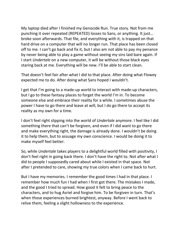My laptop died after I finished my Genocide Run. True story. Not from me punching it over repeated (REPEATED) losses to Sans, or anything. It just… broke soon afterwards. That file, and everything with it, is trapped on that hard drive on a computer that will no longer run. That place has been closed off to me. I can't go back and fix it, but I also am not able to pay my penance by never being able to play a game without seeing my sins laid bare again. If I start *Undertale* on a new computer, it will be without those black eyes staring back at me. Everything will be new. I'll be able to start clean.

That doesn't feel fair after what I did to that place. After doing what Flowey expected me to do. After doing what Sans hoped I wouldn't.

I get that I'm going to a made-up world to interact with made-up characters, but I go to these fantasy places to forget the world I'm in. To become someone else and embrace their reality for a while. I sometimes abuse the power I have to go there and leave at will, but I do go there to accept its reality as my own for a time.

I don't feel right slipping into the world of *Undertale* anymore. I feel like I did something there that can't be forgiven, and even if I did want to go there and make everything right, the damage is already done. I wouldn't be doing it to help them, but to assuage my own conscience. I would be doing it to make myself feel better.

So, while *Undertale* takes players to a delightful world filled with positivity, I don't feel right in going back there. I don't have the right to. Not after what I did to people I supposedly cared about while I existed in that space. Not after I pretended to care, showing my true colors when I came back to hurt.

But I have my memories. I remember the good times I had in that place. I remember how much fun I had when I first got there. The mistakes I made, and the good I tried to spread. How good it felt to bring peace to the characters, and to hug Asriel and forgive him. To be forgiven in turn. That's when those experiences burned brightest, anyway. Before I went back to relive them, feeling a slight hollowness to the experience.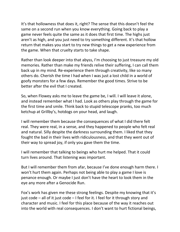It's that hollowness that does it, right? The sense that this doesn't feel the same on a second run when you know everything. Going back to play a game never feels quite the same as it does that first time. The highs just aren't as high, and you just need to try something different. It's that hollow return that makes you start to try new things to get a new experience from the game. When that cruelty starts to take shape.

Rather than look deeper into that abyss, I'm choosing to just treasure my old memories. Rather than make my friends relive their suffering, I can call them back up in my mind. Re-experience them through creativity, like so many others do. Cherish the time I had when I was just a lost child in a world of goofy monsters for a few days. Remember the good times. Strive to be better after the evil that I created.

So, when Flowey asks me to leave the game be, I will. I will leave it alone, and instead remember what I had. Look as others play through the game for the first time and smile. Think back to stupid telescope pranks, too much ketchup at Grillby's, hotdogs on your head, and laugh.

I will remember them because the consequences of what I did there felt real. They were real, in a sense, and they happened to people who felt real and natural. Silly despite the darkness surrounding them. I liked that they fought the bad in their lives with ridiculousness, and that they went out of their way to spread joy, if only you gave them the time.

I will remember that talking to beings who hurt me helped. That it could turn lives around. That listening was important.

But I will remember them from afar, because I've done enough harm there. I won't hurt them again. Perhaps not being able to play a game I love is penance enough. Or maybe I just don't have the heart to look them in the eye any more after a Genocide Run.

Fox's work has given me these strong feelings. Despite my knowing that it's just code – all of it just code – I feel for it. I feel for it through story and character and music. I feel for this place because of the way it reaches out into the world with real consequences. I don't want to hurt fictional beings,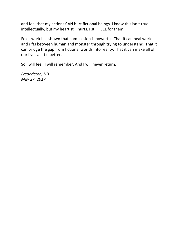and feel that my actions CAN hurt fictional beings. I know this isn't true intellectually, but my heart still hurts. I still FEEL for them.

Fox's work has shown that compassion is powerful. That it can heal worlds and rifts between human and monster through trying to understand. That it can bridge the gap from fictional worlds into reality. That it can make all of our lives a little better.

So I will feel. I will remember. And I will never return.

*Fredericton, NB May 27, 2017*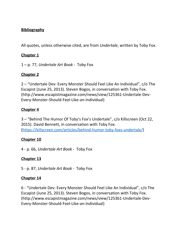## **Bibliography**

All quotes, unless otherwise cited, are from *Undertale*, written by Toby Fox.

#### **Chapter 1**

1 – p. 77, *Undertale Art Book* - Toby Fox

#### **Chapter 2**

2 – "Undertale Dev: Every Monster Should Feel Like An Individual", c/o The Escapist (June 25, 2013). Steven Bogos, in conversation with Toby Fox. (http://www.escapistmagazine.com/news/view/125361-Undertale-Dev-Every-Monster-Should-Feel-Like-an-Individual)

### **Chapter 4**

3 – "Behind The Humor Of Toby's Fox's Undertale", c/o Killscreen (Oct 22, 2015). David Bennett, in conversation with Toby Fox. ([https://killscreen.com/articles/behind-humor-toby-foxs-undertale/\)](https://killscreen.com/articles/behind-humor-toby-foxs-undertale/)

# **Chapter 10**

4 - p. 66, *Undertale Art Book* - Toby Fox

# **Chapter 13**

5 - p. 87, *Undertale Art Book* - Toby Fox

### **Chapter 14**

6 - "Undertale Dev: Every Monster Should Feel Like An Individual", c/o The Escapist (June 25, 2013). Steven Bogos, in conversation with Toby Fox. (http://www.escapistmagazine.com/news/view/125361-Undertale-Dev-Every-Monster-Should-Feel-Like-an-Individual)